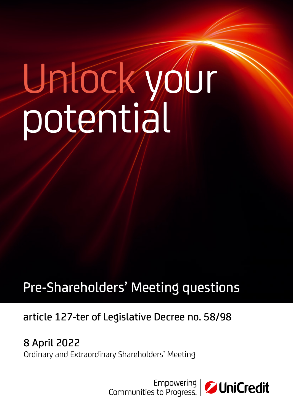# Unlock your potential

# Pre-Shareholders' Meeting questions

# article 127-ter of Legislative Decree no. 58/98

8 April 2022 Ordinary and Extraordinary Shareholders' Meeting

| Empowering<br>| Communities to Progress.

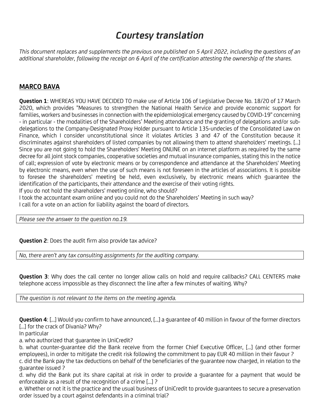# Courtesy translation

This document replaces and supplements the previous one published on 5 April 2022, including the questions of an additional shareholder, following the receipt on 6 April of the certification attesting the ownership of the shares.

# MARCO BAVA

Question 1: WHEREAS YOU HAVE DECIDED TO make use of Article 106 of Legislative Decree No. 18/20 of 17 March 2020, which provides "Measures to strengthen the National Health Service and provide economic support for families, workers and businesses in connection with the epidemiological emergency caused by COVID-19" concerning - in particular - the modalities of the Shareholders' Meeting attendance and the granting of delegations and/or subdelegations to the Company-Designated Proxy Holder pursuant to Article 135-undecies of the Consolidated Law on Finance, which I consider unconstitutional since it violates Articles 3 and 47 of the Constitution because it discriminates against shareholders of listed companies by not allowing them to attend shareholders' meetings. [...] Since you are not going to hold the Shareholders' Meeting ONLINE on an internet platform as required by the same decree for all joint stock companies, cooperative societies and mutual insurance companies, stating this in the notice of call; expression of vote by electronic means or by correspondence and attendance at the Shareholders' Meeting by electronic means, even when the use of such means is not foreseen in the articles of associations. It is possible to foresee the shareholders' meeting be held, even exclusively, by electronic means which guarantee the identification of the participants, their attendance and the exercise of their voting rights.

If you do not hold the shareholders' meeting online, who should?

I took the accountant exam online and you could not do the Shareholders' Meeting in such way? I call for a vote on an action for liability against the board of directors.

Please see the answer to the question no.19.

**Question 2:** Does the audit firm also provide tax advice?

No, there aren't any tax consulting assignments for the auditing company.

Question 3: Why does the call center no longer allow calls on hold and require callbacks? CALL CENTERS make telephone access impossible as they disconnect the line after a few minutes of waiting. Why?

The question is not relevant to the items on the meeting agenda.

**Question 4:** [...] Would you confirm to have announced, [...] a quarantee of 40 million in favour of the former directors [...] for the crack of Divania? Why?

In particular

a. who authorized that guarantee in UniCredit?

b. what counter-guarantee did the Bank receive from the former Chief Executive Officer, [...] (and other former employees), in order to mitigate the credit risk following the commitment to pay EUR 40 million in their favour ? c. did the Bank pay the tax deductions on behalf of the beneficiaries of the guarantee now charged, in relation to the guarantee issued ?

d. why did the Bank put its share capital at risk in order to provide a guarantee for a payment that would be enforceable as a result of the recognition of a crime [...] ?

e. Whether or not it is the practice and the usual business of UniCredit to provide guarantees to secure a preservation order issued by a court against defendants in a criminal trial?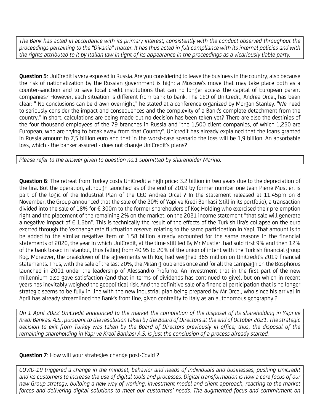The Bank has acted in accordance with its primary interest, consistently with the conduct observed throughout the proceedings pertaining to the "Divania" matter. It has thus acted in full compliance with its internal policies and with the rights attributed to it by Italian law in light of its appearance in the proceedings as a vicariously liable party.

**Question 5:** UniCredit is very exposed in Russia. Are you considering to leave the business in the country, also because the risk of nationalization by the Russian government is high: a Moscow's move that may take place both as a counter-sanction and to save local credit institutions that can no longer access the capital of European parent companies? However, each situation is different from bank to bank. The CEO of UniCredit, Andrea Orcel, has been clear: " No conclusions can be drawn overnight," he stated at a conference organized by Morgan Stanley. "We need to seriously consider the impact and consequences and the complexity of a Bank's complete detachment from the country." In short, calculations are being made but no decision has been taken yet? There are also the destinies of the four thousand employees of the 79 branches in Russia and "the 1,500 client companies, of which 1,250 are European, who are trying to break away from that Country". Unicredit has already explained that the loans granted in Russia amount to 7,5 billion euro and that in the worst-case scenario the loss will be 1,9 billion. An absorbable loss, which - the banker assured - does not change UniCredit's plans?

Please refer to the answer given to question no.1 submitted by shareholder Marino.

Question 6: The retreat from Turkey costs UniCredit a high price: 3.2 billion in two years due to the depreciation of the lira. But the operation, although launched as of the end of 2019 by former number one Jean Pierre Mustier, is part of the logic of the Industrial Plan of the CEO Andrea Orcel ? In the statement released at 11.45pm on 8 November, the Group announced that the sale of the 20% of Yapi ve Kredi Bankasi (still in its portfolio), a transaction divided into the sale of 18% for € 300m to the former shareholders of Koç Holding who exercised their pre-emption right and the placement of the remaining 2% on the market, on the 2021 income statement "that sale will generate a negative impact of € 1.6bn". This is technically the result of the effects of the Turkish lira's collapse on the euro exerted through the 'exchange rate fluctuation reserve' relating to the same participation in Yapi. That amount is to be added to the similar negative item of 1.58 billion already accounted for the same reasons in the financial statements of 2020, the year in which UniCredit, at the time still led By Mr Mustier, had sold first 9% and then 12% of the bank based in Istanbul, thus falling from 40.95 to 20% of the union of intent with the Turkish financial group Koç. Moreover, the breakdown of the agreements with Koç had weighed 365 million on UniCredit's 2019 financial statements. Thus, with the sale of the last 20%, the Milan group ends once and for all the campaign on the Bosphorus launched in 2001 under the leadership of Alessandro Profumo. An investment that in the first part of the new millennium also gave satisfaction (and that in terms of dividends has continued to give), but on which in recent years has inevitably weighed the geopolitical risk. And the definitive sale of a financial participation that is no longer strategic seems to be fully in line with the new industrial plan being prepared by Mr Orcel, who since his arrival in April has already streamlined the Bank's front line, given centrality to Italy as an autonomous geography ?

On 1 April 2022 UniCredit announced to the market the completion of the disposal of its shareholding in Yapı ve Kredi Bankası A.S., pursuant to the resolution taken by the Board of Directors at the end of October 2021. The strategic decision to exit from Turkey was taken by the Board of Directors previously in office; thus, the disposal of the remaining shareholding in Yapı ve Kredi Bankası A.S. is just the conclusion of a process already started.

# Question 7: How will your strategies change post-Covid ?

COVID-19 triggered a change in the mindset, behavior and needs of individuals and businesses, pushing UniCredit and its customers to increase the use of digital tools and processes. Digital transformation is now a core focus of our new Group strategy, building a new way of working, investment model and client approach, reacting to the market forces and delivering digital solutions to meet our customers' needs. The augmented focus and commitment on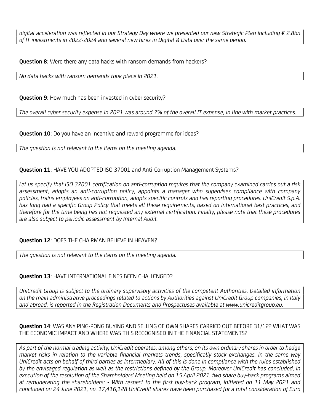digital acceleration was reflected in our Strategy Day where we presented our new Strategic Plan including € 2.8bn of IT investments in 2022-2024 and several new hires in Digital & Data over the same period.

**Question 8:** Were there any data hacks with ransom demands from hackers?

No data hacks with ransom demands took place in 2021.

Question 9: How much has been invested in cyber security?

The overall cyber security expense in 2021 was around 7% of the overall IT expense, in line with market practices.

**Question 10:** Do you have an incentive and reward programme for ideas?

The question is not relevant to the items on the meeting agenda.

# Question 11: HAVE YOU ADOPTED ISO 37001 and Anti-Corruption Management Systems?

Let us specify that ISO 37001 certification on anti-corruption requires that the company examined carries out a risk assessment, adopts an anti-corruption policy, appoints a manager who supervises compliance with company policies, trains employees on anti-corruption, adopts specific controls and has reporting procedures. UniCredit S.p.A. has long had a specific Group Policy that meets all these requirements, based on international best practices, and therefore for the time being has not requested any external certification. Finally, please note that these procedures are also subject to periodic assessment by Internal Audit.

# Question 12: DOES THE CHAIRMAN BELIEVE IN HEAVEN?

The question is not relevant to the items on the meeting agenda.

#### Question 13: HAVE INTERNATIONAL FINES BEEN CHALLENGED?

UniCredit Group is subject to the ordinary supervisory activities of the competent Authorities. Detailed information on the main administrative proceedings related to actions by Authorities against UniCredit Group companies, in Italy and abroad, is reported in the Registration Documents and Prospectuses available at www.unicreditgroup.eu.

Question 14: WAS ANY PING-PONG BUYING AND SELLING OF OWN SHARES CARRIED OUT BEFORE 31/12? WHAT WAS THE ECONOMIC IMPACT AND WHERE WAS THIS RECOGNISED IN THE FINANCIAL STATEMENTS?

As part of the normal trading activity, UniCredit operates, among others, on its own ordinary shares in order to hedge market risks in relation to the variable financial markets trends, specifically stock exchanges. In the same way UniCredit acts on behalf of third parties as intermediary. All of this is done in compliance with the rules established by the envisaged regulation as well as the restrictions defined by the Group. Moreover UniCredit has concluded, in execution of the resolution of the Shareholders' Meeting held on 15 April 2021, two share buy-back programs aimed at remunerating the shareholders: • With respect to the first buy-back program, initiated on 11 May 2021 and concluded on 24 June 2021, no. 17,416,128 UniCredit shares have been purchased for a total consideration of Euro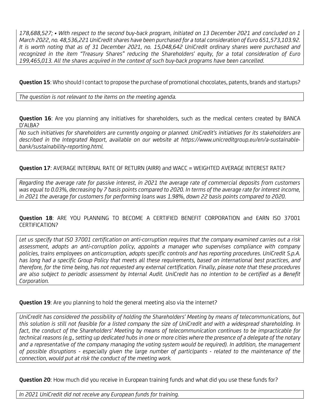178,688,527; • With respect to the second buy-back program, initiated on 13 December 2021 and concluded on 1 March 2022, no. 48,536,221 UniCredit shares have been purchased for a total consideration of Euro 651,573,103.92. It is worth noting that as of 31 December 2021, no. 15,048,642 UniCredit ordinary shares were purchased and recognized in the item "Treasury Shares" reducing the Shareholders' equity, for a total consideration of Euro 199,465,013. All the shares acquired in the context of such buy-back programs have been cancelled.

Question 15: Who should I contact to propose the purchase of promotional chocolates, patents, brands and startups?

The question is not relevant to the items on the meeting agenda.

Question 16: Are you planning any initiatives for shareholders, such as the medical centers created by BANCA D'ALBA?

No such initiatives for shareholders are currently ongoing or planned. UniCredit's initiatives for its stakeholders are described in the Integrated Report, available on our website at https://www.unicreditgroup.eu/en/a-sustainablebank/sustainability-reporting.html.

Question 17: AVERAGE INTERNAL RATE OF RETURN (AIRR) and WACC = WEIGHTED AVERAGE INTEREST RATE?

Regarding the average rate for passive interest, in 2021 the average rate of commercial deposits from customers was equal to 0.03%, decreasing by 7 basis points compared to 2020. In terms of the average rate for interest income, in 2021 the average for customers for performing loans was 1.98%, down 22 basis points compared to 2020.

Question 18: ARE YOU PLANNING TO BECOME A CERTIFIED BENEFIT CORPORATION and EARN ISO 37001 CERTIFICATION?

Let us specify that ISO 37001 certification on anti-corruption requires that the company examined carries out a risk assessment, adopts an anti-corruption policy, appoints a manager who supervises compliance with company policies, trains employees on anticorruption, adopts specific controls and has reporting procedures. UniCredit S.p.A. has long had a specific Group Policy that meets all these requirements, based on international best practices, and therefore, for the time being, has not requested any external certification. Finally, please note that these procedures are also subject to periodic assessment by Internal Audit. UniCredit has no intention to be certified as a Benefit Corporation.

**Question 19:** Are you planning to hold the general meeting also via the internet?

UniCredit has considered the possibility of holding the Shareholders' Meeting by means of telecommunications, but this solution is still not feasible for a listed company the size of UniCredit and with a widespread shareholding. In fact, the conduct of the Shareholders' Meeting by means of telecommunication continues to be impracticable for technical reasons (e.g., setting up dedicated hubs in one or more cities where the presence of a delegate of the notary and a representative of the company managing the voting system would be required). In addition, the management of possible disruptions - especially given the large number of participants - related to the maintenance of the connection, would put at risk the conduct of the meeting work.

Question 20: How much did you receive in European training funds and what did you use these funds for?

In 2021 UniCredit did not receive any European funds for training.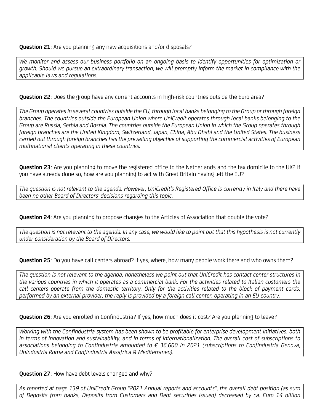**Question 21:** Are you planning any new acquisitions and/or disposals?

We monitor and assess our business portfolio on an ongoing basis to identify opportunities for optimization or growth. Should we pursue an extraordinary transaction, we will promptly inform the market in compliance with the applicable laws and regulations.

Question 22: Does the group have any current accounts in high-risk countries outside the Euro area?

The Group operates in several countries outside the EU, through local banks belonging to the Group or through foreign branches. The countries outside the European Union where UniCredit operates through local banks belonging to the Group are Russia, Serbia and Bosnia. The countries outside the European Union in which the Group operates through foreign branches are the United Kingdom, Switzerland, Japan, China, Abu Dhabi and the United States. The business carried out through foreign branches has the prevailing objective of supporting the commercial activities of European multinational clients operating in these countries.

Question 23: Are you planning to move the registered office to the Netherlands and the tax domicile to the UK? If you have already done so, how are you planning to act with Great Britain having left the EU?

The question is not relevant to the agenda. However, UniCredit's Registered Office is currently in Italy and there have been no other Board of Directors' decisions regarding this topic.

**Question 24:** Are you planning to propose changes to the Articles of Association that double the vote?

The question is not relevant to the agenda. In any case, we would like to point out that this hypothesis is not currently under consideration by the Board of Directors.

Question 25: Do you have call centers abroad? If yes, where, how many people work there and who owns them?

The question is not relevant to the agenda, nonetheless we point out that UniCredit has contact center structures in the various countries in which it operates as a commercial bank. For the activities related to Italian customers the call centers operate from the domestic territory. Only for the activities related to the block of payment cards, performed by an external provider, the reply is provided by a foreign call center, operating in an EU country.

Question 26: Are you enrolled in Confindustria? If yes, how much does it cost? Are you planning to leave?

Working with the Confindustria system has been shown to be profitable for enterprise development initiatives, both in terms of innovation and sustainability, and in terms of internationalization. The overall cost of subscriptions to associations belonging to Confindustria amounted to € 36,600 in 2021 (subscriptions to Confindustria Genova, Unindustria Roma and Confindustria Assafrica & Mediterraneo).

**Question 27:** How have debt levels changed and why?

As reported at page 139 of UniCredit Group "2021 Annual reports and accounts", the overall debt position (as sum of Deposits from banks, Deposits from Customers and Debt securities issued) decreased by ca. Euro 14 billion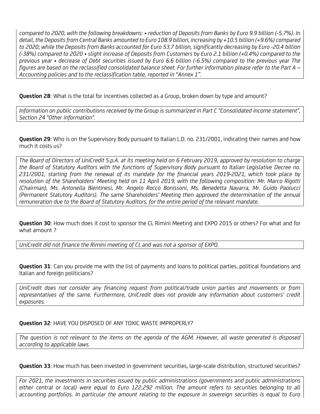compared to 2020, with the following breakdowns: • reduction of Deposits from Banks by Euro 9.9 billion (-5.7%). In detail, the Deposits from Central Banks amounted to Euro 108.9 billion, increasing by +10.5 billion (+9.6%) compared to 2020; while the Deposits from Banks accounted for Euro 53.7 billion, significantly decreasing by Euro -20.4 billion (-38%) compared to 2020 • slight increase of Deposits from Customers by Euro 2.1 billion (+0.4%) compared to the previous year • decrease of Debt securities issued by Euro 6.6 billion (-6.5%) compared to the previous year The figures are based on the reclassified consolidated balance sheet. For further information please refer to the Part A – Accounting policies and to the reclassification table, reported in "Annex 1".

Question 28: What is the total for incentives collected as a Group, broken down by type and amount?

Information on public contributions received by the Group is summarized in Part C "Consolidated income statement", Section 24 "Other information".

**Question 29:** Who is on the Supervisory Body pursuant to Italian L.D. no. 231/2001, indicating their names and how much it costs us?

The Board of Directors of UniCredit S.p.A. at its meeting held on 6 February 2019, approved by resolution to charge the Board of Statutory Auditors with the functions of Supervisory Body pursuant to Italian Legislative Decree no. 231/2001, starting from the renewal of its mandate for the financial years 2019-2021, which took place by resolution of the Shareholders' Meeting held on 11 April 2019, with the following composition: Mr. Marco Rigotti (Chairman), Ms. Antonella Bientinesi, Mr. Angelo Rocco Bonissoni, Ms. Benedetta Navarra, Mr. Guido Paolucci (Permanent Statutory Auditors). The same Shareholders' Meeting then approved the determination of the annual remuneration due to the Board of Statutory Auditors, for the entire period of the relevant mandate.

Question 30: How much does it cost to sponsor the CL Rimini Meeting and EXPO 2015 or others? For what and for what amount ?

UniCredit did not finance the Rimini meeting of CL and was not a sponsor of EXPO.

**Question 31**: Can you provide me with the list of payments and loans to political parties, political foundations and Italian and foreign politicians?

UniCredit does not consider any financing request from political/trade union parties and movements or from representatives of the same. Furthermore, UniCredit does not provide any information about customers' credit exposures.

# Question 32: HAVE YOU DISPOSED OF ANY TOXIC WASTE IMPROPERLY?

The question is not relevant to the items on the agenda of the AGM. However, all waste generated is disposed according to applicable laws.

Question 33: How much has been invested in government securities, large-scale distribution, structured securities?

For 2021, the investments in securities issued by public administrations (governments and public administrations either central or local) were equal to Euro 122,292 million. The amount refers to securities belonging to all accounting portfolios. In particular the amount relating to the exposure in sovereign securities is equal to Euro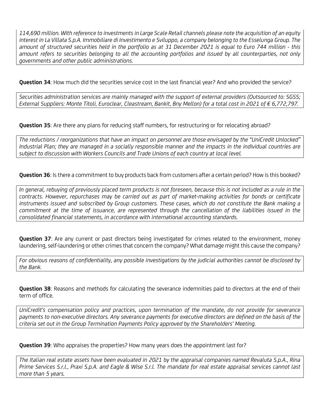114,690 million. With reference to investments in Large Scale Retail channels please note the acquisition of an equity interest in La Villata S.p.A. Immobiliare di Investimento e Sviluppo, a company belonging to the Esselunga Group. The amount of structured securities held in the portfolio as at 31 December 2021 is equal to Euro 744 million - this amount refers to securities belonging to all the accounting portfolios and issued by all counterparties, not only governments and other public administrations.

Question 34: How much did the securities service cost in the last financial year? And who provided the service?

Securities administration services are mainly managed with the support of external providers (Outsourced to: SGSS; External Suppliers: Monte Titoli, Euroclear, Cleastream, Bankit, Bny Mellon) for a total cost in 2021 of € 6,772,797.

**Question 35:** Are there any plans for reducing staff numbers, for restructuring or for relocating abroad?

The reductions / reorganizations that have an impact on personnel are those envisaged by the "UniCredit Unlocked" Industrial Plan; they are managed in a socially responsible manner and the impacts in the individual countries are subject to discussion with Workers Councils and Trade Unions of each country at local level.

Question 36: Is there a commitment to buy products back from customers after a certain period? How is this booked?

In general, rebuying of previously placed term products is not foreseen, because this is not included as a rule in the contracts. However, repurchases may be carried out as part of market-making activities for bonds or certificate instruments issued and subscribed by Group customers. These cases, which do not constitute the Bank making a commitment at the time of issuance, are represented through the cancellation of the liabilities issued in the consolidated financial statements, in accordance with international accounting standards.

Question 37: Are any current or past directors being investigated for crimes related to the environment, money laundering, self-laundering or other crimes that concern the company? What damage might this cause the company?

For obvious reasons of confidentiality, any possible investigations by the judicial authorities cannot be disclosed by the Bank.

**Question 38:** Reasons and methods for calculating the severance indemnities paid to directors at the end of their term of office.

UniCredit's compensation policy and practices, upon termination of the mandate, do not provide for severance payments to non-executive directors. Any severance payments for executive directors are defined on the basis of the criteria set out in the Group Termination Payments Policy approved by the Shareholders' Meeting.

Question 39: Who appraises the properties? How many years does the appointment last for?

The Italian real estate assets have been evaluated in 2021 by the appraisal companies named Revaluta S.p.A., Rina Prime Services S.r.l., Praxi S.p.A. and Eagle & Wise S.r.l. The mandate for real estate appraisal services cannot last more than 5 years.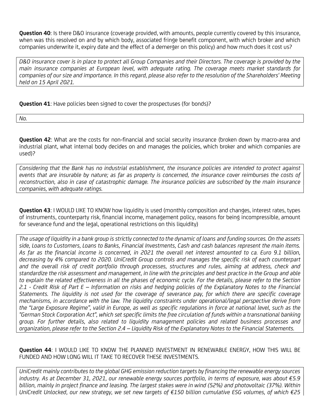Question 40: Is there D&O insurance (coverage provided, with amounts, people currently covered by this insurance, when was this resolved on and by which body, associated fringe benefit component, with which broker and which companies underwrite it, expiry date and the effect of a demerger on this policy) and how much does it cost us?

D&O insurance cover is in place to protect all Group Companies and their Directors. The coverage is provided by the main insurance companies at European level, with adequate rating. The coverage meets market standards for companies of our size and importance. In this regard, please also refer to the resolution of the Shareholders' Meeting held on 15 April 2021.

Question 41: Have policies been signed to cover the prospectuses (for bonds)?

No.

**Question 42:** What are the costs for non-financial and social security insurance (broken down by macro-area and industrial plant, what internal body decides on and manages the policies, which broker and which companies are used)?

Considering that the Bank has no industrial establishment, the insurance policies are intended to protect against events that are insurable by nature; as far as property is concerned, the insurance cover reimburses the costs of reconstruction, also in case of catastrophic damage. The insurance policies are subscribed by the main insurance companies, with adequate ratings.

Question 43: I WOULD LIKE TO KNOW how liquidity is used (monthly composition and changes, interest rates, types of instruments, counterparty risk, financial income, management policy, reasons for being incompressible, amount for severance fund and the legal, operational restrictions on this liquidity)

The usage of liquidity in a bank group is strictly connected to the dynamic of loans and funding sources. On the assets side, Loans to Customers, Loans to Banks, Financial Investments, Cash and cash balances represent the main items. As far as the financial income is concerned, in 2021 the overall net interest amounted to ca. Euro 9.1 billion, decreasing by 4% compared to 2020. UniCredit Group controls and manages the specific risk of each counterpart and the overall risk of credit portfolio through processes, structures and rules, aiming at address, check and standardize the risk assessment and management, in line with the principles and best practice in the Group and able to explain the related effectiveness in all the phases of economic cycle. For the details, please refer to the Section 2.1 - Credit Risk of Part E – Information on risks and hedging policies of the Explanatory Notes to the Financial Statements. The liquidity is not used for the coverage of severance pay, for which there are specific coverage mechanisms, in accordance with the law. The liquidity constraints under operational/legal perspective derive from the "Large Exposure Regime", valid in Europe, as well as specific regulations in force at national level, such as the "German Stock Corporation Act", which set specific limits the free circulation of funds within a transnational banking group. For further details, also related to liquidity management policies and related business processes and organization, please refer to the Section 2.4 – Liquidity Risk of the Explanatory Notes to the Financial Statements.

Question 44: I WOULD LIKE TO KNOW THE PLANNED INVESTMENT IN RENEWABLE ENERGY, HOW THIS WILL BE FUNDED AND HOW LONG WILL IT TAKE TO RECOVER THESE INVESTMENTS.

UniCredit mainly contributes to the global GHG emission reduction targets by financing the renewable energy sources industry. As at December 31, 2021, our renewable energy sources portfolio, in terms of exposure, was about €5.9 billion, mainly in project finance and leasing. The largest stakes were in wind (52%) and photovoltaic (37%). Within UniCredit Unlocked, our new strategy, we set new targets of €150 billion cumulative ESG volumes, of which €25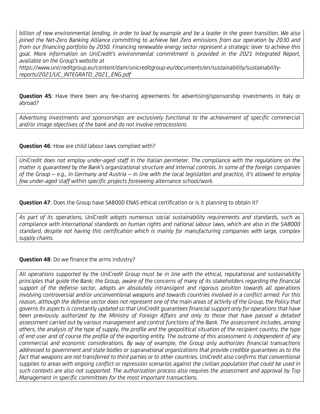billion of new environmental lending, in order to lead by example and be a leader in the green transition. We also joined the Net-Zero Banking Alliance committing to achieve Net Zero emissions from our operation by 2030 and from our financing portfolio by 2050. Financing renewable energy sector represent a strategic lever to achieve this goal. More information on UniCredit's environmental commitment is provided in the 2021 Integrated Report, available on the Group's website at

https://www.unicreditgroup.eu/content/dam/unicreditgroup-eu/documents/en/sustainability/sustainabilityreports/2021/UC\_INTEGRATO\_2021\_ENG.pdf

**Question 45**: Have there been any fee-sharing agreements for advertising/sponsorship investments in Italy or abroad?

Advertising investments and sponsorships are exclusively functional to the achievement of specific commercial and/or image objectives of the bank and do not involve retrocessions.

# **Question 46:** How are child labour laws complied with?

UniCredit does not employ under-aged staff in the Italian perimeter. The compliance with the regulations on the matter is guaranteed by the Bank's organizational structure and internal controls. In some of the foreign companies of the Group – e.g., in Germany and Austria – in line with the local legislation and practice, it's allowed to employ few under-aged staff within specific projects foreseeing alternance school/work.

# Question 47: Does the Group have SA8000 ENAS ethical certification or is it planning to obtain it?

As part of its operations, UniCredit adopts numerous social sustainability requirements and standards, such as compliance with international standards on human rights and national labour laws, which are also in the SA8000 standard, despite not having this certification which is mainly for manufacturing companies with large, complex supply chains.

#### **Question 48:** Do we finance the arms industry?

All operations supported by the UniCredit Group must be in line with the ethical, reputational and sustainability principles that guide the Bank; the Group, aware of the concerns of many of its stakeholders regarding the financial support of the defense sector, adopts an absolutely intransigent and rigorous position towards all operations involving controversial and/or unconventional weapons and towards countries involved in a conflict armed. For this reason, although the defense sector does not represent one of the main areas of activity of the Group, the Policy that governs its aspects is constantly updated so that UniCredit guarantees financial support only for operations that have been previously authorized by the Ministry of Foreign Affairs and only to those that have passed a detailed assessment carried out by various management and control functions of the Bank. The assessment includes, among others, the analysis of the type of supply, the profile and the geopolitical situation of the recipient country, the type of end user and of course the profile of the exporting entity. The outcome of this assessment is independent of any commercial and economic considerations. By way of example, the Group only authorizes financial transactions addressed to government and state bodies or supranational organizations that provide credible guarantees as to the fact that weapons are not transferred to third parties or to other countries. UniCredit also confirms that conventional supplies to areas with ongoing conflict or repression scenarios against the civilian population that could be used in such contexts are also not supported. The authorization process also requires the assessment and approval by Top Management in specific committees for the most important transactions.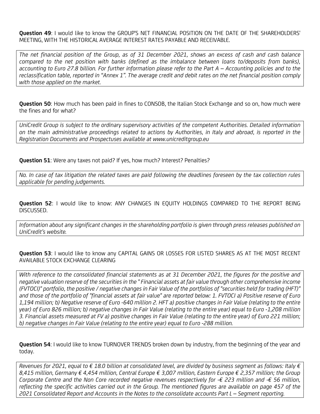Question 49: I would like to know the GROUP'S NET FINANCIAL POSITION ON THE DATE OF THE SHAREHOLDERS' MEETING, WITH THE HISTORICAL AVERAGE INTEREST RATES PAYABLE AND RECEIVABLE.

The net financial position of the Group, as of 31 December 2021, shows an excess of cash and cash balance compared to the net position with banks (defined as the imbalance between loans to/deposits from banks), accounting to Euro 27.8 billion. For further information please refer to the Part A – Accounting policies and to the reclassification table, reported in "Annex 1". The average credit and debit rates on the net financial position comply with those applied on the market.

Question 50: How much has been paid in fines to CONSOB, the Italian Stock Exchange and so on, how much were the fines and for what?

UniCredit Group is subject to the ordinary supervisory activities of the competent Authorities. Detailed information on the main administrative proceedings related to actions by Authorities, in Italy and abroad, is reported in the Registration Documents and Prospectuses available at www.unicreditgroup.eu

Question 51: Were any taxes not paid? If yes, how much? Interest? Penalties?

No. In case of tax litigation the related taxes are paid following the deadlines foreseen by the tax collection rules applicable for pending judgements.

Question 52: I would like to know: ANY CHANGES IN EQUITY HOLDINGS COMPARED TO THE REPORT BEING DISCUSSED.

Information about any significant changes in the shareholding portfolio is given through press releases published on UniCredit's website.

**Question 53:** I would like to know any CAPITAL GAINS OR LOSSES FOR LISTED SHARES AS AT THE MOST RECENT AVAILABLE STOCK EXCHANGE CLEARING

With reference to the consolidated financial statements as at 31 December 2021, the figures for the positive and negative valuation reserve of the securities in the " Financial assets at fair value through other comprehensive income (FVTOCI)" portfolio, the positive / negative changes in Fair Value of the portfolios of "securities held for trading (HFT)" and those of the portfolio of "financial assets at fair value" are reported below: 1. FVTOCI a) Positive reserve of Euro 1,194 million; b) Negative reserve of Euro -640 million 2. HFT a) positive changes in Fair Value (relating to the entire year) of Euro 826 million; b) negative changes in Fair Value (relating to the entire year) equal to Euro -1,208 million 3. Financial assets measured at FV a) positive changes in Fair Value (relating to the entire year) of Euro 221 million; b) negative changes in Fair Value (relating to the entire year) equal to Euro -288 million.

Question 54: I would like to know TURNOVER TRENDS broken down by industry, from the beginning of the year and today.

Revenues for 2021, equal to  $\in$  18.0 billion at consolidated level, are divided by business segment as follows: Italy  $\in$ 8,415 million, Germany € 4,454 million, Central Europe € 3,007 million, Eastern Europe € 2,357 million; the Group Corporate Centre and the Non Core recorded negative revenues respectively for  $-\epsilon$  223 million and  $-\epsilon$  56 million, reflecting the specific activities carried out in the Group. The mentioned figures are available on page 457 of the 2021 Consolidated Report and Accounts in the Notes to the consolidate accounts Part L – Segment reporting.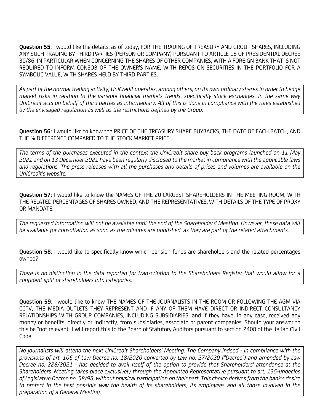Question 55: I would like the details, as of today, FOR THE TRADING OF TREASURY AND GROUP SHARES, INCLUDING ANY SUCH TRADING BY THIRD PARTIES (PERSON OR COMPANY) PURSUANT TO ARTICLE 18 OF PRESIDENTIAL DECREE 30/86, IN PARTICULAR WHEN CONCERNING THE SHARES OF OTHER COMPANIES, WITH A FOREIGN BANK THAT IS NOT REQUIRED TO INFORM CONSOB OF THE OWNER'S NAME, WITH REPOS ON SECURITIES IN THE PORTFOLIO FOR A SYMBOLIC VALUE, WITH SHARES HELD BY THIRD PARTIES.

As part of the normal trading activity, UniCredit operates, among others, on its own ordinary shares in order to hedge market risks in relation to the variable financial markets trends, specifically stock exchanges. In the same way UniCredit acts on behalf of third parties as intermediary. All of this is done in compliance with the rules established by the envisaged regulation as well as the restrictions defined by the Group.

Question 56: I would like to know the PRICE OF THE TREASURY SHARE BUYBACKS, THE DATE OF EACH BATCH, AND THE % DIFFERENCE COMPARED TO THE STOCK MARKET PRICE.

The terms of the purchases executed in the context the UniCredit share buy-back programs launched on 11 May 2021 and on 13 December 2021 have been regularly disclosed to the market in compliance with the applicable laws and regulations. The press releases with all the purchases and details of prices and volumes are available on the UniCredit's website.

Question 57: I would like to know the NAMES OF THE 20 LARGEST SHAREHOLDERS IN THE MEETING ROOM, WITH THE RELATED PERCENTAGES OF SHARES OWNED, AND THE REPRESENTATIVES, WITH DETAILS OF THE TYPE OF PROXY OR MANDATE.

The requested information will not be available until the end of the Shareholders' Meeting. However, these data will be available for consultation as soon as the minutes are published, as they are part of the related attachments.

**Question 58:** I would like to specifically know which pension funds are shareholders and the related percentages owned?

There is no distinction in the data reported for transcription to the Shareholders Register that would allow for a confident split of shareholders into categories.

Question 59: I would like to know THE NAMES OF THE JOURNALISTS IN THE ROOM OR FOLLOWING THE AGM VIA CCTV, THE MEDIA OUTLETS THEY REPRESENT AND IF ANY OF THEM HAVE DIRECT OR INDIRECT CONSULTANCY RELATIONSHIPS WITH GROUP COMPANIES, INCLUDING SUBSIDIARIES, and if they have, in any case, received any money or benefits, directly or indirectly, from subsidiaries, associate or parent companies. Should your answer to this be "not relevant" I will report this to the Board of Statutory Auditors pursuant to section 2408 of the Italian Civil Code.

No journalists will attend the next UniCredit Shareholders' Meeting. The Company indeed - in compliance with the provisions of art. 106 of Law Decree no. 18/2020 converted by Law no. 27/2020 ("Decree") and amended by Law Decree no. 228/2021 - has decided to avail itself of the option to provide that Shareholders' attendance at the Shareholders' Meeting takes place exclusively through the Appointed Representative pursuant to art. 135-undecies of Legislative Decree no. 58/98, without physical participation on their part. This choice derives from the bank's desire to protect in the best possible way the health of its shareholders, its employees and all those involved in the preparation of a General Meeting.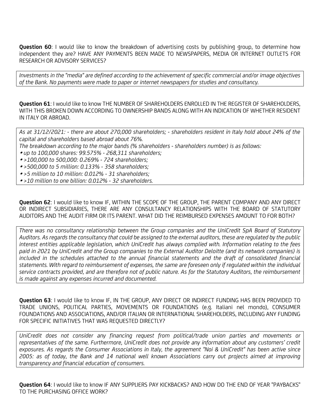**Question 60:** I would like to know the breakdown of advertising costs by publishing group, to determine how independent they are? HAVE ANY PAYMENTS BEEN MADE TO NEWSPAPERS, MEDIA OR INTERNET OUTLETS FOR RESEARCH OR ADVISORY SERVICES?

Investments in the "media" are defined according to the achievement of specific commercial and/or image objectives of the Bank. No payments were made to paper or internet newspapers for studies and consultancy.

Question 61: I would like to know THE NUMBER OF SHAREHOLDERS ENROLLED IN THE REGISTER OF SHAREHOLDERS, WITH THIS BROKEN DOWN ACCORDING TO OWNERSHIP BANDS ALONG WITH AN INDICATION OF WHETHER RESIDENT IN ITALY OR ABROAD.

As at 31/12/2021: - there are about 270,000 shareholders; - shareholders resident in Italy hold about 24% of the capital and shareholders based abroad about 76%.

- The breakdown according to the major bands (% shareholders shareholders number) is as follows:
- up to 100,000 shares: 99.575% 268,311 shareholders;
- >100,000 to 500,000: 0.269% 724 shareholders;
- >500,000 to 5 million: 0.133% 358 shareholders;
- >5 million to 10 million: 0.012% 31 shareholders;
- >10 million to one billion: 0.012% 32 shareholders.

Question 62: I would like to know IF, WITHIN THE SCOPE OF THE GROUP, THE PARENT COMPANY AND ANY DIRECT OR INDIRECT SUBSIDIARIES, THERE ARE ANY CONSULTANCY RELATIONSHIPS WITH THE BOARD OF STATUTORY AUDITORS AND THE AUDIT FIRM OR ITS PARENT. WHAT DID THE REIMBURSED EXPENSES AMOUNT TO FOR BOTH?

There was no consultancy relationship between the Group companies and the UniCredit SpA Board of Statutory Auditors. As regards the consultancy that could be assigned to the external auditors, these are regulated by the public interest entities applicable legislation, which UniCredit has always complied with. Information relating to the fees paid in 2021 by UniCredit and the Group companies to the External Auditor Deloitte (and its network companies) is included in the schedules attached to the annual financial statements and the draft of consolidated financial statements. With regard to reimbursement of expenses, the same are foreseen only if regulated within the individual service contracts provided, and are therefore not of public nature. As for the Statutory Auditors, the reimbursement is made against any expenses incurred and documented.

Question 63: I would like to know IF, IN THE GROUP, ANY DIRECT OR INDIRECT FUNDING HAS BEEN PROVIDED TO TRADE UNIONS, POLITICAL PARTIES, MOVEMENTS OR FOUNDATIONS (e.g. Italiani nel mondo), CONSUMER FOUNDATIONS AND ASSOCIATIONS, AND/OR ITALIAN OR INTERNATIONAL SHAREHOLDERS, INCLUDING ANY FUNDING FOR SPECIFIC INITIATIVES THAT WAS REQUESTED DIRECTLY?

UniCredit does not consider any financing request from political/trade union parties and movements or representatives of the same. Furthermore, UniCredit does not provide any information about any customers' credit exposures. As regards the Consumer Associations in Italy, the agreement "Noi & UniCredit" has been active since 2005: as of today, the Bank and 14 national well known Associations carry out projects aimed at improving transparency and financial education of consumers.

Question 64: I would like to know IF ANY SUPPLIERS PAY KICKBACKS? AND HOW DO THE END OF YEAR "PAYBACKS" TO THE PURCHASING OFFICE WORK?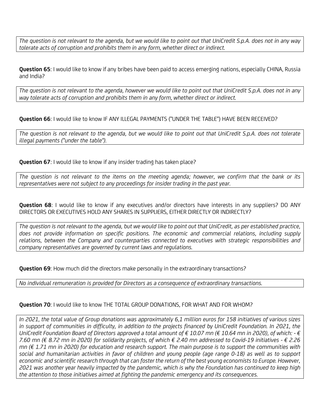The question is not relevant to the agenda, but we would like to point out that UniCredit S.p.A. does not in any way tolerate acts of corruption and prohibits them in any form, whether direct or indirect.

Question 65: I would like to know if any bribes have been paid to access emerging nations, especially CHINA, Russia and India?

The question is not relevant to the agenda, however we would like to point out that UniCredit S.p.A. does not in any way tolerate acts of corruption and prohibits them in any form, whether direct or indirect.

Question 66: I would like to know IF ANY ILLEGAL PAYMENTS ("UNDER THE TABLE") HAVE BEEN RECEIVED?

The question is not relevant to the agenda, but we would like to point out that UniCredit S.p.A. does not tolerate illegal payments ("under the table").

Question 67: I would like to know if any insider trading has taken place?

The question is not relevant to the items on the meeting agenda; however, we confirm that the bank or its representatives were not subject to any proceedings for insider trading in the past year.

Question 68: I would like to know if any executives and/or directors have interests in any suppliers? DO ANY DIRECTORS OR EXECUTIVES HOLD ANY SHARES IN SUPPLIERS, EITHER DIRECTLY OR INDIRECTLY?

The question is not relevant to the agenda, but we would like to point out that UniCredit, as per established practice, does not provide information on specific positions. The economic and commercial relations, including supply relations, between the Company and counterparties connected to executives with strategic responsibilities and company representatives are governed by current laws and regulations.

**Question 69:** How much did the directors make personally in the extraordinary transactions?

No individual remuneration is provided for Directors as a consequence of extraordinary transactions.

# Question 70: I would like to know THE TOTAL GROUP DONATIONS, FOR WHAT AND FOR WHOM?

In 2021, the total value of Group donations was approximately 6,1 million euros for 158 initiatives of various sizes in support of communities in difficulty, in addition to the projects financed by UniCredit Foundation. In 2021, the UniCredit Foundation Board of Directors approved a total amount of € 10.07 mn (€ 10.64 mn in 2020), of which: - € 7.60 mn (€ 8.72 mn in 2020) for solidarity projects, of which € 2.40 mn addressed to Covid-19 initiatives - € 2.26 mn (€ 1.71 mn in 2020) for education and research support. The main purpose is to support the communities with social and humanitarian activities in favor of children and young people (age range 0-18) as well as to support economic and scientific research through that can foster the return of the best young economists to Europe. However, 2021 was another year heavily impacted by the pandemic, which is why the Foundation has continued to keep high the attention to those initiatives aimed at fighting the pandemic emergency and its consequences.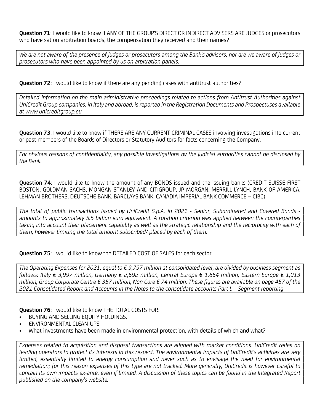Question 71: I would like to know if ANY OF THE GROUP'S DIRECT OR INDIRECT ADVISERS ARE JUDGES or prosecutors who have sat on arbitration boards, the compensation they received and their names?

We are not aware of the presence of judges or prosecutors among the Bank's advisors, nor are we aware of judges or prosecutors who have been appointed by us on arbitration panels.

Question 72: I would like to know if there are any pending cases with antitrust authorities?

Detailed information on the main administrative proceedings related to actions from Antitrust Authorities against UniCredit Group companies, in Italy and abroad, is reported in the Registration Documents and Prospectuses available at www.unicreditgroup.eu.

Question 73: I would like to know if THERE ARE ANY CURRENT CRIMINAL CASES involving investigations into current or past members of the Boards of Directors or Statutory Auditors for facts concerning the Company.

For obvious reasons of confidentiality, any possible investigations by the judicial authorities cannot be disclosed by the Bank.

**Question 74:** I would like to know the amount of any BONDS issued and the issuing banks (CREDIT SUISSE FIRST BOSTON, GOLDMAN SACHS, MONGAN STANLEY AND CITIGROUP, JP MORGAN, MERRILL LYNCH, BANK OF AMERICA, LEHMAN BROTHERS, DEUTSCHE BANK, BARCLAYS BANK, CANADIA IMPERIAL BANK COMMERCE – CIBC)

The total of public transactions issued by UniCredit S.p.A. in 2021 - Senior, Subordinated and Covered Bonds amounts to approximately 5.5 billion euro equivalent. A rotation criterion was applied between the counterparties taking into account their placement capability as well as the strategic relationship and the reciprocity with each of them, however limiting the total amount subscribed/ placed by each of them.

**Question 75: I would like to know the DETAILED COST OF SALES for each sector.** 

The Operating Expenses for 2021, equal to  $\epsilon$  9,797 million at consolidated level, are divided by business segment as follows: Italy € 3,997 million, Germany € 2,692 million, Central Europe € 1,664 million, Eastern Europe € 1,013 million, Group Corporate Centre € 357 million, Non Core € 74 million. These figures are available on page 457 of the 2021 Consolidated Report and Accounts in the Notes to the consolidate accounts Part L – Segment reporting

Question 76: I would like to know THE TOTAL COSTS FOR:

- BUYING AND SELLING EQUITY HOLDINGS.
- ENVIRONMENTAL CLEAN-UPS
- What investments have been made in environmental protection, with details of which and what?

Expenses related to acquisition and disposal transactions are aligned with market conditions. UniCredit relies on leading operators to protect its interests in this respect. The environmental impacts of UniCredit's activities are very limited, essentially limited to energy consumption and never such as to envisage the need for environmental remediation; for this reason expenses of this type are not tracked. More generally, UniCredit is however careful to contain its own impacts ex-ante, even if limited. A discussion of these topics can be found in the Integrated Report published on the company's website.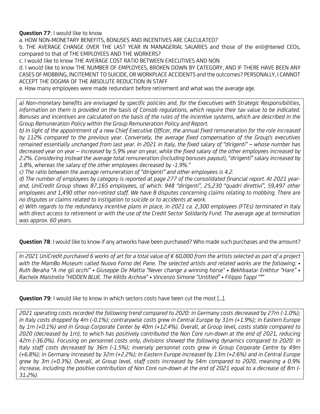**Question 77:** I would like to know

a. HOW NON-MONETARY BENEFITS, BONUSES AND INCENTIVES ARE CALCULATED?

b. THE AVERAGE CHANGE OVER THE LAST YEAR IN MANAGERIAL SALARIES and those of the enlightened CEOs, compared to that of THE EMPLOYEES AND THE WORKERS?

c. I would like to know THE AVERAGE COST RATIO BETWEEN EXECUTIVES AND NON

d. I would like to know THE NUMBER OF EMPLOYEES, BROKEN DOWN BY CATEGORY, AND IF THERE HAVE BEEN ANY CASES OF MOBBING, INCITEMENT TO SUICIDE, OR WORKPLACE ACCIDENTS and the outcomes? PERSONALLY, I CANNOT ACCEPT THE DOGMA OF THE ABSOLUTE REDUCTION IN STAFF

e. How many employees were made redundant before retirement and what was the average age.

a) Non-monetary benefits are envisaged by specific policies and, for the Executives with Strategic Responsibilities, information on them is provided on the basis of Consob regulations, which require their tax value to be indicated. Bonuses and incentives are calculated on the basis of the rules of the incentive systems, which are described in the Group Remuneration Policy within the Group Remuneration Policy and Report.

b) In light of the appointment of a new Chief Executive Officer, the annual fixed remuneration for the role increased by 112% compared to the previous year. Conversely, the average fixed compensation of the Group's executives remained essentially unchanged from last year. In 2021 in Italy, the fixed salary of "dirigenti" – whose number has decreased year on year – increased by 5,9% year on year, while the fixed salary of the other employees increased by 2.2%. Considering instead the average total remuneration (including bonuses payout), "dirigenti" salary increased by 1.8%, whereas the salary of the other employees decreased by -1.9%."

c) The ratio between the average remuneration of "dirigenti" and other employees is 4.2.

d) The number of employees by category is reported at page 277 of the consolidated financial report. At 2021 yearend, UniCredit Group shows 87,165 employees, of which: 948 "dirigenti", 25,230 "quadri direttivi", 59,497 other employees and 1,490 other non-retired staff. We have 8 disputes concerning claims relating to mobbing. There are no disputes or claims related to instigation to suicide or to accidents at work.

e) With regards to the redundancy incentive plans in place, in 2021 ca. 2,300 employees (FTEs) terminated in Italy with direct access to retirement or with the use of the Credit Sector Solidarity Fund. The average age at termination was approx. 60 years.

Question 78: I would like to know if any artworks have been purchased? Who made such purchases and the amount?

In 2021 UniCredit purchased 6 works of art for a total value of € 60,000 from the artists selected as part of a project with the MamBo Museum called Nuovo Forno del Pane. The selected artists and related works are the following: • Ruth Beraha "A me gli occhi" • Giuseppe De Mattia "Never change a winning horse" • Bekhbaatar Enkhtur "Hare" • Rachele Maistrello "HIDDEN BLUE. The Kētŏs Archive" • Vincenzo Simone "Untitled" • Filippo Tappi "\*"

**Question 79:** I would like to know in which sectors costs have been cut the most [...].

2021 operating costs recorded the following trend compared to 2020: in Germany costs decreased by 27m (-1.0%); in Italy costs dropped by 4m (-0.1%); contrarywise costs grew in Central Europe by 31m (+1.9%); in Eastern Europe by 1m (+0.1%) and in Group Corporate Center by 40m (+12.4%). Overall, at Group level, costs stable compared to 2020 (decreased by 1m), to which has positively contributed the Non Core run-down at the end of 2021, reducing 42m (-36.0%). Focusing on personnel costs only, divisions showed the following dynamics compared to 2020: in Italy staff costs decreased by 36m (-1.5%); inversely personnel costs grew in Group Corporate Centre by 49m (+6.8%); in Germany increased by 32m (+2.2%); In Eastern Europe increased by 13m (+2.6%) and in Central Europe grew by 3m (+0.3%). Overall, at Group level, staff costs increased by 54m compared to 2020, meaning a 0.9% increase, including the positive contribution of Non Core run-down at the end of 2021 equal to a decrease of 8m (- 31.2%).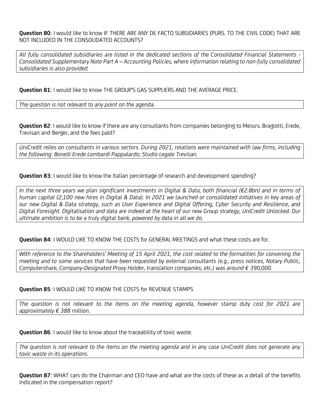Question 80: I would like to know IF THERE ARE ANY DE FACTO SUBSIDIARIES (PURS. TO THE CIVIL CODE) THAT ARE NOT INCLUDED IN THE CONSOLIDATED ACCOUNTS?

All fully consolidated subsidiaries are listed in the dedicated sections of the Consolidated Financial Statements - Consolidated Supplementary Note Part A – Accounting Policies, where information relating to non-fully consolidated subsidiaries is also provided.

Question 81: I would like to know THE GROUP'S GAS SUPPLIERS AND THE AVERAGE PRICE.

The question is not relevant to any point on the agenda.

Question 82: I would like to know if there are any consultants from companies belonging to Messrs. Bragiotti, Erede, Trevisan and Berger, and the fees paid?

UniCredit relies on consultants in various sectors. During 2021, relations were maintained with law firms, including the following: Bonelli Erede Lombardi Pappalardo; Studio Legale Trevisan.

**Question 83:** I would like to know the Italian percentage of research and development spending?

In the next three years we plan significant investments in Digital & Data, both financial (€2.8bn) and in terms of human capital (2,100 new hires in Digital & Data). In 2021 we launched or consolidated initiatives in key areas of our new Digital & Data strategy, such as User Experience and Digital Offering, Cyber Security and Resilience, and Digital Foresight. Digitalisation and data are indeed at the heart of our new Group strategy, UniCredit Unlocked. Our ultimate ambition is to be a truly digital bank, powered by data in all we do.

Question 84: I WOULD LIKE TO KNOW THE COSTS for GENERAL MEETINGS and what these costs are for.

With reference to the Shareholders' Meeting of 15 April 2021, the cost related to the formalities for convening the meeting and to some services that have been requested by external consultants (e.g., press notices, Notary Public, Computershare, Company-Designated Proxy Holder, translation companies, etc.) was around € 390,000.

Question 85: I WOULD LIKE TO KNOW THE COSTS for REVENUE STAMPS

The question is not relevant to the items on the meeting agenda, however stamp duty cost for 2021 are approximately  $\epsilon$  388 million.

**Question 86:** I would like to know about the traceability of toxic waste.

The question is not relevant to the items on the meeting agenda and in any case UniCredit does not generate any toxic waste in its operations.

**Question 87**: WHAT cars do the Chairman and CEO have and what are the costs of these as a detail of the benefits indicated in the compensation report?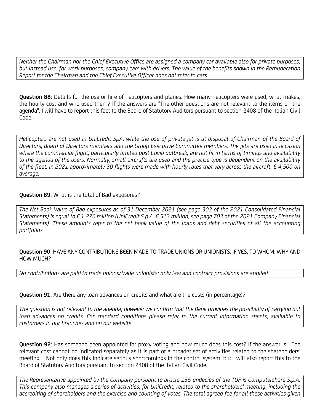Neither the Chairman nor the Chief Executive Office are assigned a company car available also for private purposes, but instead use, for work purposes, company cars with drivers. The value of the benefits shown in the Remuneration Report for the Chairman and the Chief Executive Officer does not refer to cars.

Question 88: Details for the use or hire of helicopters and planes. How many helicopters were used, what makes, the hourly cost and who used them? If the answers are "The other questions are not relevant to the items on the agenda", I will have to report this fact to the Board of Statutory Auditors pursuant to section 2408 of the Italian Civil Code.

Helicopters are not used in UniCredit SpA, while the use of private jet is at disposal of Chairman of the Board of Directors, Board of Directors members and the Group Executive Committee members. The jets are used in occasion where the commercial flight, particularly limited post Covid outbreak, are not fit in terms of timings and availability to the agenda of the users. Normally, small aircrafts are used and the precise type is dependent on the availability of the fleet. In 2021 approximately 30 flights were made with hourly rates that vary across the aircraft,  $\epsilon$  4,500 on average.

# Question 89: What is the total of Bad exposures?

The Net Book Value of Bad exposures as of 31 December 2021 (see page 303 of the 2021 Consolidated Financial Statements) is equal to € 1,276 million (UniCredit S.p.A. € 513 million, see page 703 of the 2021 Company Financial Statements). These amounts refer to the net book value of the loans and debt securities of all the accounting portfolios.

Question 90: HAVE ANY CONTRIBUTIONS BEEN MADE TO TRADE UNIONS OR UNIONISTS. IF YES, TO WHOM, WHY AND HOW MUCH?

No contributions are paid to trade unions/trade unionists: only law and contract provisions are applied.

Question 91: Are there any loan advances on credits and what are the costs (in percentage)?

The question is not relevant to the agenda; however we confirm that the Bank provides the possibility of carrying out loan advances on credits. For standard conditions please refer to the current information sheets, available to customers in our branches and on our website.

Question 92: Has someone been appointed for proxy voting and how much does this cost? If the answer is: "The relevant cost cannot be indicated separately as it is part of a broader set of activities related to the shareholders' meeting." Not only does this indicate serious shortcomings in the control system, but I will also report this to the Board of Statutory Auditors pursuant to section 2408 of the Italian Civil Code.

The Representative appointed by the Company pursuant to article 135-undecies of the TUF is Computershare S.p.A. This company also manages a series of activities, for UniCredit, related to the shareholders' meeting, including the accrediting of shareholders and the exercise and counting of votes. The total agreed fee for all these activities given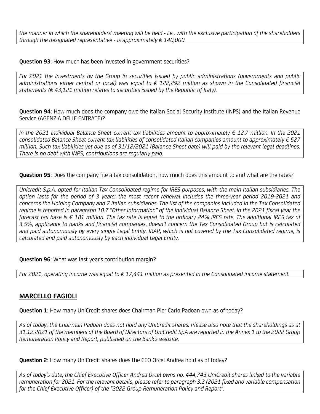the manner in which the shareholders' meeting will be held - i.e., with the exclusive participation of the shareholders through the designated representative - is approximately  $\epsilon$  140,000.

**Question 93:** How much has been invested in government securities?

For 2021 the investments by the Group in securities issued by public administrations (governments and public administrations either central or local) was equal to € 122,292 million as shown in the Consolidated financial statements ( $\epsilon$  43,121 million relates to securities issued by the Republic of Italy).

**Question 94:** How much does the company owe the Italian Social Security Institute (INPS) and the Italian Revenue Service (AGENZIA DELLE ENTRATE)?

In the 2021 individual Balance Sheet current tax liabilities amount to approximately  $\epsilon$  12.7 million. In the 2021 consolidated Balance Sheet current tax liabilities of consolidated Italian companies amount to approximately € 627 million. Such tax liabilities yet due as of 31/12/2021 (Balance Sheet date) will paid by the relevant legal deadlines. There is no debt with INPS, contributions are regularly paid.

Question 95: Does the company file a tax consolidation, how much does this amount to and what are the rates?

Unicredit S.p.A. opted for Italian Tax Consolidated regime for IRES purposes, with the main Italian subsidiaries. The option lasts for the period of 3 years: the most recent renewal includes the three-year period 2019-2021 and concerns the Holding Company and 7 Italian subsidiaries. The list of the companies included in the Tax Consolidated regime is reported in paragraph 10.7 "Other information" of the Individual Balance Sheet. In the 2021 fiscal year the forecast tax base is € 181 million. The tax rate is equal to the ordinary 24% IRES rate. The additional IRES tax of 3,5%, applicable to banks and financial companies, doesn't concern the Tax Consolidated Group but is calculated and paid autonomously by every single Legal Entity. IRAP, which is not covered by the Tax Consolidated regime, is calculated and paid autonomously by each individual Legal Entity.

Question 96: What was last year's contribution margin?

For 2021, operating income was equal to  $\epsilon$  17,441 million as presented in the Consolidated income statement.

# MARCELLO FAGIOLI

Question 1: How many UniCredit shares does Chairman Pier Carlo Padoan own as of today?

As of today, the Chairman Padoan does not hold any UniCredit shares. Please also note that the shareholdings as at 31.12.2021 of the members of the Board of Directors of UniCredit SpA are reported in the Annex 1 to the 2022 Group Remuneration Policy and Report, published on the Bank's website.

**Question 2:** How many UniCredit shares does the CEO Orcel Andrea hold as of today?

As of today's date, the Chief Executive Officer Andrea Orcel owns no. 444,743 UniCredit shares linked to the variable remuneration for 2021. For the relevant details, please refer to paragraph 3.2 (2021 fixed and variable compensation for the Chief Executive Officer) of the "2022 Group Remuneration Policy and Report".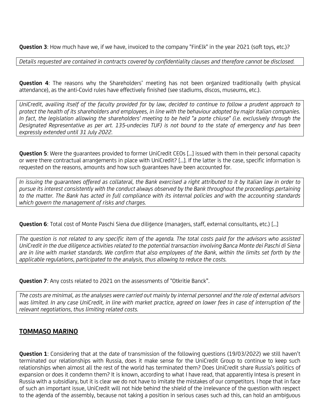Question 3: How much have we, if we have, invoiced to the company "FinElk" in the year 2021 (soft toys, etc.)?

Details requested are contained in contracts covered by confidentiality clauses and therefore cannot be disclosed.

Question 4: The reasons why the Shareholders' meeting has not been organized traditionally (with physical attendance), as the anti-Covid rules have effectively finished (see stadiums, discos, museums, etc.).

UniCredit, availing itself of the faculty provided for by law, decided to continue to follow a prudent approach to protect the health of its shareholders and employees, in line with the behaviour adopted by major Italian companies. In fact, the legislation allowing the shareholders' meeting to be held "a porte chiuse" (i.e. exclusively through the Designated Representative as per art. 135-undecies TUF) is not bound to the state of emergency and has been expressly extended until 31 July 2022.

Question 5: Were the quarantees provided to former UniCredit CEOs [...] issued with them in their personal capacity or were there contractual arrangements in place with UniCredit? [...]. If the latter is the case, specific information is requested on the reasons, amounts and how such guarantees have been accounted for.

In issuing the guarantees offered as collateral, the Bank exercised a right attributed to it by Italian law in order to pursue its interest consistently with the conduct always observed by the Bank throughout the proceedings pertaining to the matter. The Bank has acted in full compliance with its internal policies and with the accounting standards which govern the management of risks and charges.

Question 6: Total cost of Monte Paschi Siena due diligence (managers, staff, external consultants, etc.) [...]

The question is not related to any specific item of the agenda. The total costs paid for the advisors who assisted UniCredit in the due diligence activities related to the potential transaction involving Banca Monte dei Paschi di Siena are in line with market standards. We confirm that also employees of the Bank, within the limits set forth by the applicable regulations, participated to the analysis, thus allowing to reduce the costs.

**Question 7:** Any costs related to 2021 on the assessments of "Otkritie Banck".

The costs are minimal, as the analyses were carried out mainly by internal personnel and the role of external advisors was limited. In any case UniCredit, in line with market practice, agreed on lower fees in case of interruption of the relevant negotiations, thus limiting related costs.

# TOMMASO MARINO

Question 1: Considering that at the date of transmission of the following questions (19/03/2022) we still haven't terminated our relationships with Russia, does it make sense for the UniCredit Group to continue to keep such relationships when almost all the rest of the world has terminated them? Does UniCredit share Russia's politics of expansion or does it condemn them? It is known, according to what I have read, that apparently Intesa is present in Russia with a subsidiary, but it is clear we do not have to imitate the mistakes of our competitors. I hope that in face of such an important issue, UniCredit will not hide behind the shield of the irrelevance of the question with respect to the agenda of the assembly, because not taking a position in serious cases such ad this, can hold an ambiguous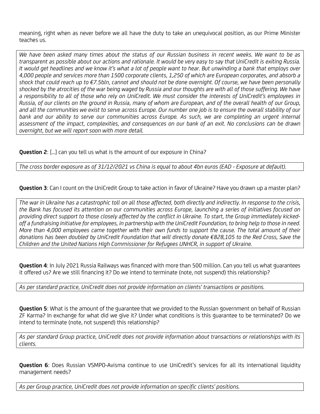meaning, right when as never before we all have the duty to take an unequivocal position, as our Prime Minister teaches us.

We have been asked many times about the status of our Russian business in recent weeks. We want to be as transparent as possible about our actions and rationale. It would be very easy to say that UniCredit is exiting Russia. It would get headlines and we know it's what a lot of people want to hear. But unwinding a bank that employs over 4,000 people and services more than 1500 corporate clients, 1,250 of which are European corporates, and absorb a shock that could reach up to €7.5bln, cannot and should not be done overnight. Of course, we have been personally shocked by the atrocities of the war being waged by Russia and our thoughts are with all of those suffering. We have a responsibility to all of those who rely on UniCredit. We must consider the interests of UniCredit's employees in Russia, of our clients on the ground in Russia, many of whom are European, and of the overall health of our Group, and all the communities we exist to serve across Europe. Our number one job is to ensure the overall stability of our bank and our ability to serve our communities across Europe. As such, we are completing an urgent internal assessment of the impact, complexities, and consequences on our bank of an exit. No conclusions can be drawn overnight, but we will report soon with more detail.

Question 2: [...] can you tell us what is the amount of our exposure in China?

The cross border exposure as of 31/12/2021 vs China is equal to about 4bn euros (EAD - Exposure at default).

Question 3: Can I count on the UniCredit Group to take action in favor of Ukraine? Have you drawn up a master plan?

The war in Ukraine has a catastrophic toll on all those affected, both directly and indirectly. In response to the crisis, the Bank has focused its attention on our communities across Europe, launching a series of initiatives focused on providing direct support to those closely affected by the conflict in Ukraine. To start, the Group immediately kickedoff a fundraising initiative for employees, in partnership with the UniCredit Foundation, to bring help to those in need. More than 4,000 employees came together with their own funds to support the cause. The total amount of their donations has been doubled by UniCredit Foundation that will directly donate €828,105 to the Red Cross, Save the Children and the United Nations High Commissioner for Refugees UNHCR, in support of Ukraine.

Question 4: In July 2021 Russia Railways was financed with more than 500 million. Can you tell us what guarantees it offered us? Are we still financing it? Do we intend to terminate (note, not suspend) this relationship?

As per standard practice, UniCredit does not provide information on clients' transactions or positions.

**Question 5:** What is the amount of the quarantee that we provided to the Russian government on behalf of Russian ZF Karma? In exchange for what did we give it? Under what conditions is this guarantee to be terminated? Do we intend to terminate (note, not suspend) this relationship?

As per standard Group practice, UniCredit does not provide information about transactions or relationships with its clients.

Question 6: Does Russian VSMPO-Avisma continue to use UniCredit's services for all its international liquidity management needs?

As per Group practice, UniCredit does not provide information on specific clients' positions.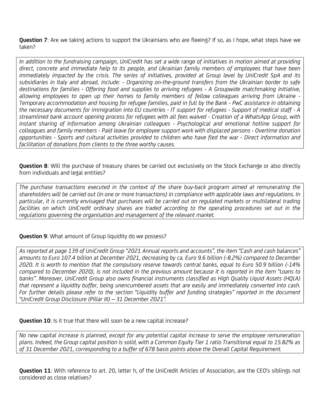Question 7: Are we taking actions to support the Ukrainians who are fleeing? If so, as I hope, what steps have we taken?

In addition to the fundraising campaign, UniCredit has set a wide range of initiatives in motion aimed at providing direct, concrete and immediate help to its people, and Ukrainian family members of employees that have been immediately impacted by the crisis. The series of initiatives, provided at Group level by UniCredit SpA and its subsidiaries in Italy and abroad, include: - Organizing on-the-ground transfers from the Ukrainian border to safe destinations for families - Offering food and supplies to arriving refugees - A Groupwide matchmaking initiative, allowing employees to open up their homes to family members of fellow colleagues arriving from Ukraine - Temporary accommodation and housing for refugee families, paid in full by the Bank - PwC assistance in obtaining the necessary documents for immigration into EU countries - IT support for refugees - Support of medical staff - A streamlined bank account opening process for refugees with all fees waived - Creation of a WhatsApp Group, with instant sharing of information among Ukrainian colleagues - Psychological and emotional hotline support for colleagues and family members - Paid leave for employee support work with displaced persons - Overtime donation opportunities - Sports and cultural activities provided to children who have fled the war - Direct information and facilitation of donations from clients to the three worthy causes.

**Question 8:** Will the purchase of treasury shares be carried out exclusively on the Stock Exchange or also directly from individuals and legal entities?

The purchase transactions executed in the context of the share buy-back program aimed at remunerating the shareholders will be carried out (in one or more transactions) in compliance with applicable laws and regulations. In particular, it is currently envisaged that purchases will be carried out on regulated markets or multilateral trading facilities on which UniCredit ordinary shares are traded according to the operating procedures set out in the regulations governing the organisation and management of the relevant market.

#### **Question 9:** What amount of Group liquidity do we possess?

As reported at page 139 of UniCredit Group "2021 Annual reports and accounts", the item "Cash and cash balances" amounts to Euro 107.4 billion at December 2021, decreasing by ca. Euro 9.6 billion (-8.2%) compared to December 2020. It is worth to mention that the compulsory reserve towards central banks, equal to Euro 50.9 billion (-14% compared to December 2020), is not included in the previous amount because it is reported in the item "Loans to banks". Moreover, UniCredit Group also owns financial instruments classified as High Quality Liquid Assets (HQLA) that represent a liquidity buffer, being unencumbered assets that are easily and immediately converted into cash. For further details please refer to the section "Liquidity buffer and funding strategies" reported in the document "UniCredit Group Disclosure (Pillar III) – 31 December 2021".

#### **Question 10:** Is it true that there will soon be a new capital increase?

No new capital increase is planned, except for any potential capital increase to serve the employee remuneration plans. Indeed, the Group capital position is solid, with a Common Equity Tier 1 ratio Transitional equal to 15.82% as of 31 December 2021, corresponding to a buffer of 678 basis points above the Overall Capital Requirement.

Question 11: With reference to art. 20, letter h, of the UniCredit Articles of Association, are the CEO's siblings not considered as close relatives?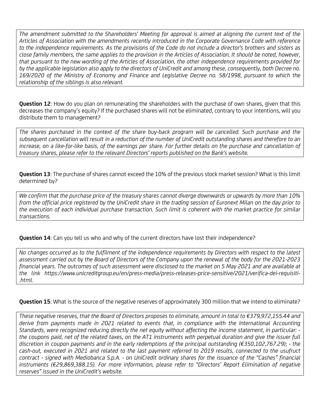The amendment submitted to the Shareholders' Meeting for approval is aimed at aligning the current text of the Articles of Association with the amendments recently introduced in the Corporate Governance Code with reference to the independence requirements. As the provisions of the Code do not include a director's brothers and sisters as close family members, the same applies to the provision in the Articles of Association. It should be noted, however, that pursuant to the new wording of the Articles of Association, the other independence requirements provided for by the applicable legislation also apply to the directors of UniCredit and among these, consequently, both Decree no. 169/2020 of the Ministry of Economy and Finance and Legislative Decree no. 58/1998, pursuant to which the relationship of the siblings is also relevant.

Question 12: How do you plan on remunerating the shareholders with the purchase of own shares, given that this decreases the company's equity? If the purchased shares will not be eliminated, contrary to your intentions, will you distribute them to management?

The shares purchased in the context of the share buy-back program will be cancelled. Such purchase and the subsequent cancellation will result in a reduction of the number of UniCredit outstanding shares and therefore to an increase, on a like-for-like basis, of the earnings per share. For further details on the purchase and cancellation of treasury shares, please refer to the relevant Directors' reports published on the Bank's website.

Question 13: The purchase of shares cannot exceed the 10% of the previous stock market session? What is this limit determined by?

We confirm that the purchase price of the treasury shares cannot diverge downwards or upwards by more than 10% from the official price registered by the UniCredit share in the trading session of Euronext Milan on the day prior to the execution of each individual purchase transaction. Such limit is coherent with the market practice for similar transactions.

# **Question 14:** Can you tell us who and why of the current directors have lost their independence?

No changes occurred as to the fulfilment of the independence requirements by Directors with respect to the latest assessment carried out by the Board of Directors of the Company upon the renewal of the body for the 2021-2023 financial years. The outcomes of such assessment were disclosed to the market on 5 May 2021 and are available at the link https://www.unicreditgroup.eu/en/press-media/press-releases-price-sensitive/2021/verifica-dei-requisiti- .html.

Question 15: What is the source of the negative reserves of approximately 300 million that we intend to eliminate?

These negative reserves, that the Board of Directors proposes to eliminate, amount in total to €379,972,155.44 and derive from payments made in 2021 related to events that, in compliance with the International Accounting Standards, were recognized reducing directly the net equity without affecting the income statement, in particular: the coupons paid, net of the related taxes, on the AT1 instruments with perpetual duration and give the issuer full discretion in coupon payments and in the early redemptions of the principal outstanding (€350,102,767.29); - the cash-out, executed in 2021 and related to the last payment referred to 2019 results, connected to the usufruct contract - signed with Mediobanca S.p.A. - on UniCredit ordinary shares for the issuance of the "Cashes" financial instruments (€29,869,388.15). For more information, please refer to "Directors' Report Elimination of negative reserves" issued in the UniCredit's website.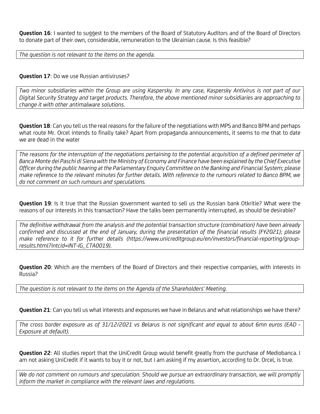Question 16: I wanted to suggest to the members of the Board of Statutory Auditors and of the Board of Directors to donate part of their own, considerable, remuneration to the Ukrainian cause. Is this feasible?

The question is not relevant to the items on the agenda.

### **Question 17:** Do we use Russian antiviruses?

Two minor subsidiaries within the Group are using Kaspersky. In any case, Kaspersky Antivirus is not part of our Digital Security Strategy and target products. Therefore, the above mentioned minor subsidiaries are approaching to change it with other antimalware solutions.

Question 18: Can you tell us the real reasons for the failure of the negotiations with MPS and Banco BPM and perhaps what route Mr. Orcel intends to finally take? Apart from propaganda announcements, it seems to me that to date we are dead in the water

The reasons for the interruption of the negotiations pertaining to the potential acquisition of a defined perimeter of Banca Monte dei Paschi di Siena with the Ministry of Economy and Finance have been explained by the Chief Executive Officer during the public hearing at the Parlamentary Enquiry Committee on the Banking and Financial System; please make reference to the relevant minutes for further details. With reference to the rumours related to Banco BPM, we do not comment on such rumours and speculations.

**Question 19:** Is it true that the Russian government wanted to sell us the Russian bank Otkritie? What were the reasons of our interests in this transaction? Have the talks been permanently interrupted, as should be desirable?

The definitive withdrawal from the analysis and the potential transaction structure (combination) have been already confirmed and discussed at the end of January, during the presentation of the financial results (FY2021); please make reference to it for further details (https://www.unicreditgroup.eu/en/investors/financial-reporting/groupresults.html?intcid=INT-IG\_CTA0019).

Question 20: Which are the members of the Board of Directors and their respective companies, with interests in Russia?

The question is not relevant to the items on the Agenda of the Shareholders' Meeting.

Question 21: Can you tell us what interests and exposures we have in Belarus and what relationships we have there?

The cross border exposure as of 31/12/2021 vs Belarus is not significant and equal to about 6mn euros (EAD - Exposure at default).

Question 22: All studies report that the UniCredit Group would benefit greatly from the purchase of Mediobanca. I am not asking UniCredit if it wants to buy it or not, but I am asking if my assertion, according to Dr. Orcel, is true.

We do not comment on rumours and speculation. Should we pursue an extraordinary transaction, we will promptly inform the market in compliance with the relevant laws and regulations.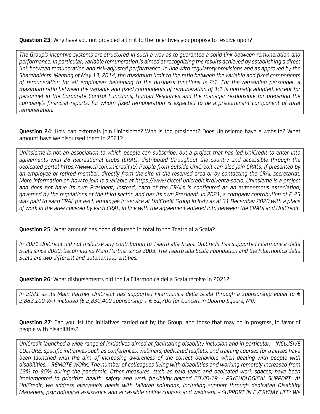**Question 23:** Why have you not provided a limit to the incentives you propose to resolve upon?

The Group's incentive systems are structured in such a way as to guarantee a solid link between remuneration and performance. In particular, variable remuneration is aimed at recognizing the results achieved by establishing a direct link between remuneration and risk-adjusted performance. In line with regulatory provisions and as approved by the Shareholders' Meeting of May 13, 2014, the maximum limit to the ratio between the variable and fixed components of remuneration for all employees belonging to the business functions is 2:1. For the remaining personnel, a maximum ratio between the variable and fixed components of remuneration of 1:1 is normally adopted, except for personnel in the Corporate Control Functions, Human Resources and the manager responsible for preparing the company's financial reports, for whom fixed remuneration is expected to be a predominant component of total remuneration.

Question 24: How can externals join Uninsieme? Who is the president? Does Uninsieme have a website? What amount have we disbursed them in 2021?

Uninsieme is not an association to which people can subscribe, but a project that has led UniCredit to enter into agreements with 26 Recreational Clubs (CRAL), distributed throughout the country and accessible through the dedicated portal https://www.circoli.unicredit.it/. People from outside UniCredit can also join CRALs, if presented by an employee or retired member, directly from the site in the reserved area or by contacting the CRAL secretariat. More information on how to join is available at https://www.circoli.unicredit.it/diventa-socio. Uninsieme is a project and does not have its own President; instead, each of the CRALs is configured as an autonomous association, governed by the regulations of the third sector, and has its own President. In 2021, a company contribution of  $\epsilon$  25 was paid to each CRAL for each employee in service at UniCredit Group in Italy as at 31 December 2020 with a place of work in the area covered by each CRAL, in line with the agreement entered into between the CRALs and UniCredit.

#### Question 25: What amount has been disbursed in total to the Teatro alla Scala?

In 2021 UniCredit did not disburse any contribution to Teatro alla Scala. UniCredit has supported Filarmonica della Scala since 2000, becoming its Main Partner since 2003. The Teatro alla Scala Foundation and the Filarmonica della Scala are two different and autonomous entities.

Question 26: What disbursements did the La Filarmonica della Scala receive in 2021?

In 2021 as its Main Partner UniCredit has supported Filarmonica della Scala through a sponsorship equal to € 2,882,100 VAT included (€ 2,830,400 sponsorship + € 51,700 for Concert in Duomo Square, MI).

**Question 27:** Can you list the initiatives carried out by the Group, and those that may be in progress, in favor of people with disabilities?

UniCredit launched a wide range of initiatives aimed at facilitating disability inclusion and in particular: - INCLUSIVE CULTURE: specific initiatives such as conferences, webinars, dedicated leaflets, and training courses for trainees have been launched with the aim of increasing awareness of the correct behaviors when dealing with people with disabilities. - REMOTE WORK: The number of colleagues living with disabilities and working remotely increased from 12% to 95% during the pandemic. Other measures, such as paid leave and dedicated work spaces, have been implemented to prioritize health, safety and work flexibility beyond COVID-19. - PSYCHOLOGICAL SUPPORT: At UniCredit, we address everyone's needs with tailored solutions, including support through dedicated Disability Managers, psychological assistance and accessible online courses and webinars. - SUPPORT IN EVERYDAY LIFE: We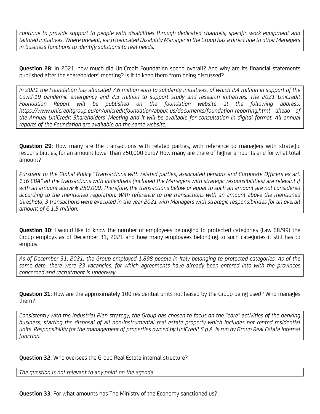continue to provide support to people with disabilities through dedicated channels, specific work equipment and tailored initiatives. Where present, each dedicated Disability Manager in the Group has a direct line to other Managers in business functions to identify solutions to real needs.

Question 28: In 2021, how much did UniCredit Foundation spend overall? And why are its financial statements published after the shareholders' meeting? Is it to keep them from being discussed?

In 2021 the Foundation has allocated 7.6 million euro to solidarity initiatives, of which 2.4 million in support of the Covid-19 pandemic emergency and 2.3 million to support study and research initiatives. The 2021 UniCredit Foundation Report will be published on the foundation website at the following address: https://www.unicreditgroup.eu/en/unicreditfoundation/about-us/documents/foundation-reporting.html ahead of the Annual UniCredit Shareholders' Meeting and it will be available for consultation in digital format. All annual reports of the Foundation are available on the same website.

Question 29: How many are the transactions with related parties, with reference to managers with strategic responsibilities, for an amount lower than 250,000 Euro? How many are there of higher amounts and for what total amount?

Pursuant to the Global Policy "Transactions with related parties, associated persons and Corporate Officers ex art. 136 CBA" all the transactions with individuals (included the Managers with strategic responsibilities) are relevant if with an amount above € 250,000. Therefore, the transactions below or equal to such an amount are not considered according to the mentioned regulation. With reference to the transactions with an amount above the mentioned threshold, 3 transactions were executed in the year 2021 with Managers with strategic responsibilities for an overall amount of  $f$  1.5 million.

**Question 30**: I would like to know the number of employees belonging to protected categories (Law 68/99) the Group employs as of December 31, 2021 and how many employees belonging to such categories it still has to employ.

As of December 31, 2021, the Group employed 1,898 people in Italy belonging to protected categories. As of the same date, there were 23 vacancies, for which agreements have already been entered into with the provinces concerned and recruitment is underway.

**Question 31:** How are the approximately 100 residential units not leased by the Group being used? Who manages them?

Consistently with the Industrial Plan strategy, the Group has chosen to focus on the "core" activities of the banking business, starting the disposal of all non-instrumental real estate property which includes not rented residential units. Responsibility for the management of properties owned by UniCredit S.p.A. is run by Group Real Estate internal function.

#### **Question 32:** Who oversees the Group Real Estate internal structure?

The question is not relevant to any point on the agenda.

Question 33: For what amounts has The Ministry of the Economy sanctioned us?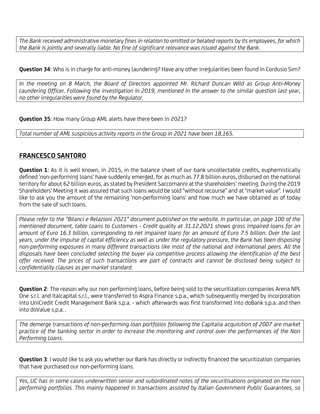The Bank received administrative monetary fines in relation to omitted or belated reports by its employees, for which the Bank is jointly and severally liable. No fine of significant relevance was issued against the Bank.

Question 34: Who is in charge for anti-money laundering? Have any other irregularities been found in Cordusio Sim?

In the meeting on 8 March, the Board of Directors appointed Mr. Richard Duncan Wild as Group Anti-Money Laundering Officer. Following the investigation in 2019, mentioned in the answer to the similar question last year, no other irregularities were found by the Regulator.

Question 35: How many Group AML alerts have there been in 2021?

Total number of AML suspicious activity reports in the Group in 2021 have been 18,165.

# FRANCESCO SANTORO

Question 1: As it is well known, in 2015, in the balance sheet of our bank uncollectable credits, euphemistically defined 'non-performing loans' have suddenly emerged, for as much as 77.8 billion euros, disbursed on the national territory for about 62 billion euros, as stated by President Saccomanni at the shareholders' meeting. During the 2019 Shareholders' Meeting it was assured that such loans would be sold "without recourse" and at "market value". I would like to ask you the amount of the remaining 'non-performing loans' and how much we have obtained as of today from the sale of such loans.

Please refer to the "Bilanci e Relazioni 2021" document published on the website. In particular, on page 100 of the mentioned document, table Loans to Customers - Credit quality at 31.12.2021 shows gross impaired loans for an amount of Euro 16.3 billion, corresponding to net impaired loans for an amount of Euro 7.5 billion. Over the last years, under the impulse of capital efficiency as well as under the regulatory pressure, the Bank has been disposing non-performing exposures in many different transactions like most of the national and international peers. All the disposals have been concluded selecting the buyer via competitive process allowing the identification of the best offer received. The prices of such transactions are part of contracts and cannot be disclosed being subject to confidentiality clauses as per market standard.

Question 2: The reason why our non performing loans, before being sold to the securitization companies Arena NPL One s.r.l. and Italcapital s.r.l., were transferred to Aspra Finance s.p.a., which subsequently merged by incorporation into UniCredit Credit Management Bank s.p.a. - which afterwards was first transformed into doBank s.p.a. and then into doValue s.p.a. .

The demerge transactions of non-performing loan portfolios following the Capitalia acquisition of 2007 are market practice of the banking sector in order to increase the monitoring and control over the performances of the Non Performing Loans.

Question 3: I would like to ask you whether our Bank has directly or indirectly financed the securitization companies that have purchased our non-performing loans.

Yes, UC has in some cases underwritten senior and subordinated notes of the securitisations originated on the non performing portfolios. This mainly happened in transactions assisted by Italian Government Public Guarantees, so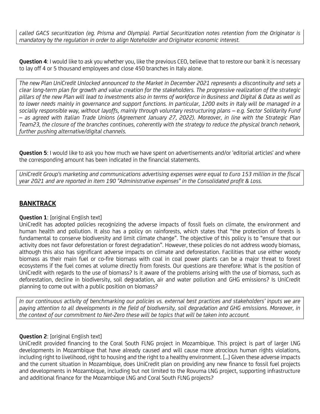called GACS securitization (eg. Prisma and Olympia). Partial Securitization notes retention from the Originator is mandatory by the regulation in order to align Noteholder and Originator economic interest.

Question 4: I would like to ask you whether you, like the previous CEO, believe that to restore our bank it is necessary to lay off 4 or 5 thousand employees and close 450 branches in Italy alone.

The new Plan UniCredit Unlocked announced to the Market in December 2021 represents a discontinuity and sets a clear long-term plan for growth and value creation for the stakeholders. The progressive realization of the strategic pillars of the new Plan will lead to investments also in terms of workforce in Business and Digital & Data as well as to lower needs mainly in governance and support functions. In particular, 1200 exits in Italy will be managed in a socially responsible way, without layoffs, mainly through voluntary restructuring plans – e.g. Sector Solidarity Fund – as agreed with Italian Trade Unions (Agreement January 27, 2022). Moreover, in line with the Strategic Plan Team23, the closure of the branches continues, coherently with the strategy to reduce the physical branch network, further pushing alternative/digital channels.

**Question 5:** I would like to ask you how much we have spent on advertisements and/or 'editorial articles' and where the corresponding amount has been indicated in the financial statements.

UniCredit Group's marketing and communications advertising expenses were equal to Euro 153 million in the fiscal year 2021 and are reported in item 190 "Administrative expenses" in the Consolidated profit & Loss.

# BANKTRACK

# **Question 1:** [original English text]

UniCredit has adopted policies recognizing the adverse impacts of fossil fuels on climate, the environment and human health and pollution. It also has a policy on rainforests, which states that "the protection of forests is fundamental to conserve biodiversity and limit climate change". The objective of this policy is to "ensure that our activity does not favor deforestation or forest degradation". However, these policies do not address woody biomass, although this also has significant adverse impacts on climate and deforestation. Facilities that use either woody biomass as their main fuel or co-fire biomass with coal in coal power plants can be a major threat to forest ecosystems if the fuel comes at volume directly from forests. Our questions are therefore: What is the position of UniCredit with regards to the use of biomass? Is it aware of the problems arising with the use of biomass, such as deforestation, decline in biodiversity, soil degradation, air and water pollution and GHG emissions? Is UniCredit planning to come out with a public position on biomass?

In our continuous activity of benchmarking our policies vs. external best practices and stakeholders' inputs we are paying attention to all developments in the field of biodiversity, soil degradation and GHG emissions. Moreover, in the context of our commitment to Net-Zero these will be topics that will be taken into account.

#### **Question 2:** [original English text]

UniCredit provided financing to the Coral South FLNG project in Mozambique. This project is part of larger LNG developments in Mozambique that have already caused and will cause more atrocious human rights violations, including right to livelihood, right to housing and the right to a healthy environment. [...] Given these adverse impacts and the current situation in Mozambique, does UniCredit plan on providing any new finance to fossil fuel projects and developments in Mozambique, including but not limited to the Rovuma LNG project, supporting infrastructure and additional finance for the Mozambique LNG and Coral South FLNG projects?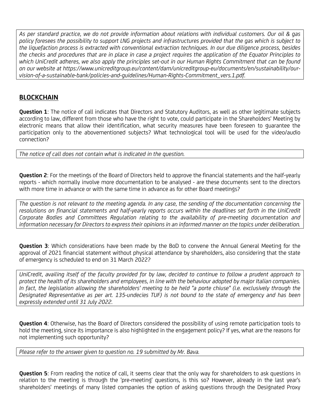As per standard practice, we do not provide information about relations with individual customers. Our oil & gas policy foresees the possibility to support LNG projects and infrastructures provided that the gas which is subject to the liquefaction process is extracted with conventional extraction techniques. In our due diligence process, besides the checks and procedures that are in place in case a project requires the application of the Equator Principles to which UniCredit adheres, we also apply the principles set-out in our Human Rights Commitment that can be found on our website at https://www.unicreditgroup.eu/content/dam/unicreditgroup-eu/documents/en/sustainability/ourvision-of-a-sustainable-bank/policies-and-guidelines/Human-Rights-Commitment\_vers.1.pdf.

# BLOCKCHAIN

Question 1: The notice of call indicates that Directors and Statutory Auditors, as well as other legitimate subjects according to law, different from those who have the right to vote, could participate in the Shareholders' Meeting by electronic means that allow their identification, what security measures have been foreseen to guarantee the participation only to the abovementioned subjects? What technological tool will be used for the video/audio connection?

The notice of call does not contain what is indicated in the question.

Question 2: For the meetings of the Board of Directors held to approve the financial statements and the half-yearly reports - which normally involve more documentation to be analysed - are these documents sent to the directors with more time in advance or with the same time in advance as for other Board meetings?

The question is not relevant to the meeting agenda. In any case, the sending of the documentation concerning the resolutions on financial statements and half-yearly reports occurs within the deadlines set forth in the UniCredit Corporate Bodies and Committees Regulation relating to the availability of pre-meeting documentation and information necessary for Directors to express their opinions in an informed manner on the topics under deliberation.

Question 3: Which considerations have been made by the BoD to convene the Annual General Meeting for the approval of 2021 financial statement without physical attendance by shareholders, also considering that the state of emergency is scheduled to end on 31 March 2022?

UniCredit, availing itself of the faculty provided for by law, decided to continue to follow a prudent approach to protect the health of its shareholders and employees, in line with the behaviour adopted by major Italian companies. In fact, the legislation allowing the shareholders' meeting to be held "a porte chiuse" (i.e. exclusively through the Designated Representative as per art. 135-undecies TUF) is not bound to the state of emergency and has been expressly extended until 31 July 2022.

**Question 4:** Otherwise, has the Board of Directors considered the possibility of using remote participation tools to hold the meeting, since its importance is also highlighted in the engagement policy? If yes, what are the reasons for not implementing such opportunity?

Please refer to the answer given to question no. 19 submitted by Mr. Bava.

Question 5: From reading the notice of call, it seems clear that the only way for shareholders to ask questions in relation to the meeting is through the 'pre-meeting' questions, is this so? However, already in the last year's shareholders' meetings of many listed companies the option of asking questions through the Designated Proxy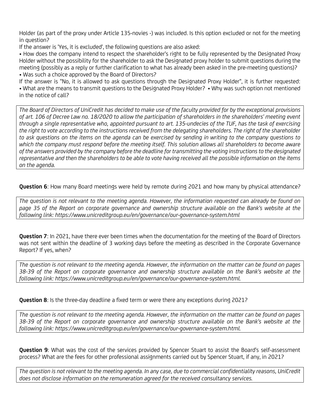Holder (as part of the proxy under Article 135-novies -) was included. Is this option excluded or not for the meeting in question?

If the answer is 'Yes, it is excluded', the following questions are also asked:

• How does the company intend to respect the shareholder's right to be fully represented by the Designated Proxy Holder without the possibility for the shareholder to ask the Designated proxy holder to submit questions during the meeting (possibly as a reply or further clarification to what has already been asked in the pre-meeting questions)? • Was such a choice approved by the Board of Directors?

If the answer is "No, it is allowed to ask questions through the Designated Proxy Holder", it is further requested: • What are the means to transmit questions to the Designated Proxy Holder? • Why was such option not mentioned in the notice of call?

The Board of Directors of UniCredit has decided to make use of the faculty provided for by the exceptional provisions of art. 106 of Decree Law no. 18/2020 to allow the participation of shareholders in the shareholders' meeting event through a single representative who, appointed pursuant to art. 135-undecies of the TUF, has the task of exercising the right to vote according to the instructions received from the delegating shareholders. The right of the shareholder to ask questions on the items on the agenda can be exercised by sending in writing to the company questions to which the company must respond before the meeting itself. This solution allows all shareholders to become aware of the answers provided by the company before the deadline for transmitting the voting instructions to the designated representative and then the shareholders to be able to vote having received all the possible information on the items on the agenda.

Question 6: How many Board meetings were held by remote during 2021 and how many by physical attendance?

The question is not relevant to the meeting agenda. However, the information requested can already be found on page 35 of the Report on corporate governance and ownership structure available on the Bank's website at the following link: https://www.unicreditgroup.eu/en/governance/our-governance-system.html

Question 7: In 2021, have there ever been times when the documentation for the meeting of the Board of Directors was not sent within the deadline of 3 working days before the meeting as described in the Corporate Governance Report? If yes, when?

The question is not relevant to the meeting agenda. However, the information on the matter can be found on pages 38-39 of the Report on corporate governance and ownership structure available on the Bank's website at the following link: https://www.unicreditgroup.eu/en/governance/our-governance-system.html.

**Question 8:** Is the three-day deadline a fixed term or were there any exceptions during 2021?

The question is not relevant to the meeting agenda. However, the information on the matter can be found on pages 38-39 of the Report on corporate governance and ownership structure available on the Bank's website at the following link: https://www.unicreditgroup.eu/en/governance/our-governance-system.html.

Question 9: What was the cost of the services provided by Spencer Stuart to assist the Board's self-assessment process? What are the fees for other professional assignments carried out by Spencer Stuart, if any, in 2021?

The question is not relevant to the meeting agenda. In any case, due to commercial confidentiality reasons, UniCredit does not disclose information on the remuneration agreed for the received consultancy services.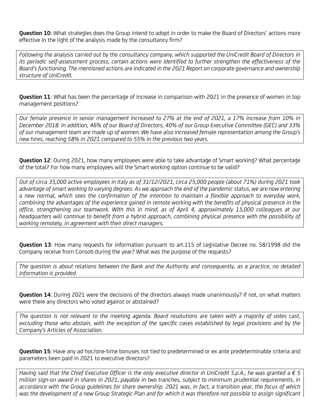Ouestion 10: What strategies does the Group intend to adopt in order to make the Board of Directors' actions more effective in the light of the analysis made by the consultancy firm?

Following the analysis carried out by the consultancy company, which supported the UniCredit Board of Directors in its periodic self-assessment process, certain actions were identified to further strengthen the effectiveness of the Board's functioning. The mentioned actions are indicated in the 2021 Report on corporate governance and ownership structure of UniCredit.

**Question 11:** What has been the percentage of increase in comparison with 2021 in the presence of women in top management positions?

Our female presence in senior management increased to 27% at the end of 2021, a 17% increase from 10% in December 2018. In addition, 46% of our Board of Directors, 40% of our Group Executive Committee (GEC) and 33% of our management team are made up of women. We have also increased female representation among the Group's new hires, reaching 58% in 2021 compared to 55% in the previous two years.

Question 12: During 2021, how many employees were able to take advantage of Smart working? What percentage of the total? For how many employees will the Smart working option continue to be valid?

Out of circa 35,000 active employees in Italy as of 31/12/2021, circa 25,000 people (about 71%) during 2021 took advantage of smart working to varying degrees. As we approach the end of the pandemic status, we are now entering a new normal, which sees the confirmation of the intention to maintain a flexible approach to everyday work, combining the advantages of the experience gained in remote working with the benefits of physical presence in the office, strengthening our teamwork. With this in mind, as of April 4, approximately 15,000 colleagues at our headquarters will continue to benefit from a hybrid approach, combining physical presence with the possibility of working remotely, in agreement with their direct managers.

Question 13: How many requests for information pursuant to art.115 of Legislative Decree no. 58/1998 did the Company receive from Consob during the year? What was the purpose of the requests?

The question is about relations between the Bank and the Authority and consequently, as a practice, no detailed information is provided.

**Question 14:** During 2021 were the decisions of the directors always made unanimously? If not, on what matters were there any directors who voted against or abstained?

The question is not relevant to the meeting agenda. Board resolutions are taken with a majority of votes cast, excluding those who abstain, with the exception of the specific cases established by legal provisions and by the Company's Articles of Association.

Question 15: Have any ad hoc/one-time bonuses not tied to predetermined or ex ante predeterminable criteria and parameters been paid in 2021 to executive directors?

Having said that the Chief Executive Officer is the only executive director in UniCredit S.p.A., he was granted a  $\epsilon$  5 million sign-on award in shares in 2021, payable in two tranches, subject to minimum prudential requirements, in accordance with the Group guidelines for share ownership. 2021 was, in fact, a transition year, the focus of which was the development of a new Group Strategic Plan and for which it was therefore not possible to assign significant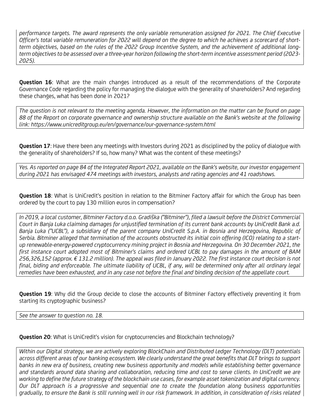performance targets. The award represents the only variable remuneration assigned for 2021. The Chief Executive Officer's total variable remuneration for 2022 will depend on the degree to which he achieves a scorecard of shortterm objectives, based on the rules of the 2022 Group Incentive System, and the achievement of additional longterm objectives to be assessed over a three-year horizon following the short-term incentive assessment period (2023- 2025).

**Question 16:** What are the main changes introduced as a result of the recommendations of the Corporate Governance Code regarding the policy for managing the dialogue with the generality of shareholders? And regarding these changes, what has been done in 2021?

The question is not relevant to the meeting agenda. However, the information on the matter can be found on page 88 of the Report on corporate governance and ownership structure available on the Bank's website at the following link: https://www.unicreditgroup.eu/en/governance/our-governance-system.html

Question 17: Have there been any meetings with Investors during 2021 as disciplined by the policy of dialogue with the generality of shareholders? If so, how many? What was the content of these meetings?

Yes. As reported on page 84 of the Integrated Report 2021, available on the Bank's website, our investor engagement during 2021 has envisaged 474 meetings with investors, analysts and rating agencies and 41 roadshows.

Question 18: What is UniCredit's position in relation to the Bitminer Factory affair for which the Group has been ordered by the court to pay 130 million euros in compensation?

In 2019, a local customer, Bitminer Factory d.o.o. Gradiška ("Bitminer"), filed a lawsuit before the District Commercial Court in Banja Luka claiming damages for unjustified termination of its current bank accounts by UniCredit Bank a.d. Banja Luka ("UCBL"), a subsidiary of the parent company UniCredit S.p.A. in Bosnia and Herzegovina, Republic of Serbia. Bitminer alleged that termination of the accounts obstructed its initial coin offering (ICO) relating to a startup renewable-energy-powered cryptocurrency mining project in Bosnia and Herzegovina. On 30 December 2021, the first instance court adopted most of Bitminer's claims and ordered UCBL to pay damages in the amount of BAM 256,326,152 (approx. € 131.2 million). The appeal was filed in January 2022. The first instance court decision is not final, biding and enforceable. The ultimate liability of UCBL, if any, will be determined only after all ordinary legal remedies have been exhausted, and in any case not before the final and binding decision of the appellate court.

**Question 19:** Why did the Group decide to close the accounts of Bitminer Factory effectively preventing it from starting its cryptographic business?

See the answer to question no. 18.

Question 20: What is UniCredit's vision for cryptocurrencies and Blockchain technology?

Within our Digital strategy, we are actively exploring BlockChain and Distributed Ledger Technology (DLT) potentials across different areas of our banking ecosystem. We clearly understand the great benefits that DLT brings to support banks in new era of business, creating new business opportunity and models while establishing better governance and standards around data sharing and collaboration, reducing time and cost to serve clients. In UniCredit we are working to define the future strategy of the blockchain use cases, for example asset tokenization and digital currency. Our DLT approach is a progressive and sequential one to create the foundation along business opportunities gradually, to ensure the Bank is still running well in our risk framework. In addition, in consideration of risks related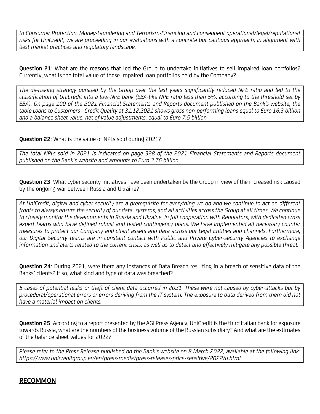to Consumer Protection, Money-Laundering and Terrorism-Financing and consequent operational/legal/reputational risks for UniCredit, we are proceeding in our evaluations with a concrete but cautious approach, in alignment with best market practices and regulatory landscape.

Question 21: What are the reasons that led the Group to undertake initiatives to sell impaired loan portfolios? Currently, what is the total value of these impaired loan portfolios held by the Company?

The de-risking strategy pursued by the Group over the last years significantly reduced NPE ratio and led to the classification of UniCredit into a low-NPE bank (EBA-like NPE ratio less than 5%, according to the threshold set by EBA). On page 100 of the 2021 Financial Statements and Reports document published on the Bank's website, the table Loans to Customers - Credit Quality at 31.12.2021 shows gross non-performing loans equal to Euro 16.3 billion and a balance sheet value, net of value adjustments, equal to Euro 7.5 billion.

**Question 22:** What is the value of NPLs sold during 2021?

The total NPLs sold in 2021 is indicated on page 328 of the 2021 Financial Statements and Reports document published on the Bank's website and amounts to Euro 3.76 billion.

**Question 23:** What cyber security initiatives have been undertaken by the Group in view of the increased risk caused by the ongoing war between Russia and Ukraine?

At UniCredit, digital and cyber security are a prerequisite for everything we do and we continue to act on different fronts to always ensure the security of our data, systems, and all activities across the Group at all times. We continue to closely monitor the developments in Russia and Ukraine, in full cooperation with Regulators, with dedicated cross expert teams who have defined robust and tested contingency plans. We have implemented all necessary counter measures to protect our Company and client assets and data across our Legal Entities and channels. Furthermore, our Digital Security teams are in constant contact with Public and Private Cyber-security Agencies to exchange information and alerts related to the current crisis, as well as to detect and effectively mitigate any possible threat.

**Question 24:** During 2021, were there any instances of Data Breach resulting in a breach of sensitive data of the Banks' clients? If so, what kind and type of data was breached?

5 cases of potential leaks or theft of client data occurred in 2021. These were not caused by cyber-attacks but by procedural/operational errors or errors deriving from the IT system. The exposure to data derived from them did not have a material impact on clients.

**Question 25:** According to a report presented by the AGI Press Agency, UniCredit is the third Italian bank for exposure towards Russia, what are the numbers of the business volume of the Russian subsidiary? And what are the estimates of the balance sheet values for 2022?

Please refer to the Press Release published on the Bank's website on 8 March 2022, available at the following link: https://www.unicreditgroup.eu/en/press-media/press-releases-price-sensitive/2022/u.html.

# RECOMMON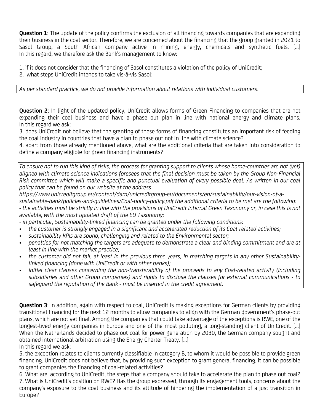**Question 1:** The update of the policy confirms the exclusion of all financing towards companies that are expanding their business in the coal sector. Therefore, we are concerned about the financing that the group granted in 2021 to Sasol Group, a South African company active in mining, energy, chemicals and synthetic fuels. [...] In this regard, we therefore ask the Bank's management to know:

1. if it does not consider that the financing of Sasol constitutes a violation of the policy of UniCredit; 2. what steps UniCredit intends to take vis-à-vis Sasol;

As per standard practice, we do not provide information about relations with individual customers.

**Question 2:** In light of the updated policy, UniCredit allows forms of Green Financing to companies that are not expanding their coal business and have a phase out plan in line with national energy and climate plans. In this regard we ask:

3. does UniCredit not believe that the granting of these forms of financing constitutes an important risk of feeding the coal industry in countries that have a plan to phase out not in line with climate science?

4. apart from those already mentioned above, what are the additional criteria that are taken into consideration to define a company eligible for green financing instruments?

To ensure not to run this kind of risks, the process for granting support to clients whose home-countries are not (yet) aligned with climate science indications foresees that the final decision must be taken by the Group Non-Financial Risk committee which will make a specific and punctual evaluation of every possible deal. As written in our coal policy that can be found on our website at the address

https://www.unicreditgroup.eu/content/dam/unicreditgroup-eu/documents/en/sustainability/our-vision-of-a-

sustainable-bank/policies-and-guidelines/Coal-policy-policy.pdf the additional criteria to be met are the following: - the activities must be strictly in line with the provisions of UniCredit internal Green Taxonomy or, in case this is not available, with the most updated draft of the EU Taxonomy;

- in particular, Sustainability-linked financing can be granted under the following conditions:

- the customer is strongly engaged in a significant and accelerated reduction of its Coal-related activities;
- sustainability KPIs are sound, challenging and related to the Environmental sector;
- penalties for not matching the targets are adequate to demonstrate a clear and binding commitment and are at least in line with the market practice;
- the customer did not fail, at least in the previous three years, in matching targets in any other Sustainabilitylinked financing (done with UniCredit or with other banks);
- initial clear clauses concerning the non-transferability of the proceeds to any Coal-related activity (including subsidiaries and other Group companies) and rights to disclose the clauses for external communications - to safeguard the reputation of the Bank - must be inserted in the credit agreement.

Question 3: In addition, again with respect to coal, UniCredit is making exceptions for German clients by providing transitional financing for the next 12 months to allow companies to align with the German government's phase-out plans, which are not yet final. Among the companies that could take advantage of the exceptions is RWE, one of the longest-lived energy companies in Europe and one of the most polluting, a long-standing client of UniCredit. [...] When the Netherlands decided to phase out coal for power generation by 2030, the German company sought and obtained international arbitration using the Energy Charter Treaty. [...]

In this regard we ask:

5. the exception relates to clients currently classifiable in category B, to whom it would be possible to provide green financing. UniCredit does not believe that, by providing such exception to grant general financing, it can be possible to grant companies the financing of coal-related activities?

6. What are, according to UniCredit, the steps that a company should take to accelerate the plan to phase out coal? 7. What is UniCredit's position on RWE? Has the group expressed, through its engagement tools, concerns about the company's exposure to the coal business and its attitude of hindering the implementation of a just transition in Europe?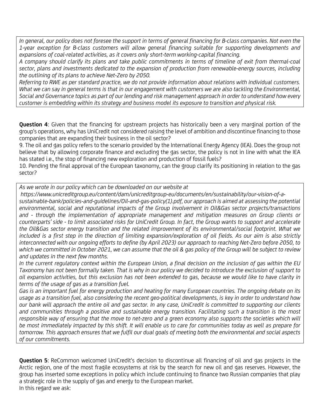In general, our policy does not foresee the support in terms of general financing for B-class companies. Not even the 1-year exception for B-class customers will allow general financing suitable for supporting developments and expansions of coal-related activities, as it covers only short-term working-capital financing.

A company should clarify its plans and take public commitments in terms of timeline of exit from thermal-coal sector, plans and investments dedicated to the expansion of production from renewable-energy sources, including the outlining of its plans to achieve Net-Zero by 2050.

Referring to RWE as per standard practice, we do not provide information about relations with individual customers. What we can say in general terms is that in our engagement with customers we are also tackling the Environmental, Social and Governance topics as part of our lending and risk management approach in order to understand how every customer is embedding within its strategy and business model its exposure to transition and physical risk.

Question 4: Given that the financing for upstream projects has historically been a very marginal portion of the group's operations, why has UniCredit not considered raising the level of ambition and discontinue financing to those companies that are expanding their business in the oil sector?

9. The oil and gas policy refers to the scenario provided by the International Energy Agency (IEA). Does the group not believe that by allowing corporate finance and excluding the gas sector, the policy is not in line with what the IEA has stated i.e., the stop of financing new exploration and production of fossil fuels?

10. Pending the final approval of the European taxonomy, can the group clarify its positioning in relation to the gas sector?

As we wrote in our policy which can be downloaded on our website at

https://www.unicreditgroup.eu/content/dam/unicreditgroup-eu/documents/en/sustainability/our-vision-of-a-

sustainable-bank/policies-and-guidelines/Oil-and-gas-policy(1).pdf, our approach is aimed at assessing the potential environmental, social and reputational impacts of the Group involvement in Oil&Gas sector projects/transactions and - through the implementation of appropriate management and mitigation measures on Group clients or counterparts' side - to limit associated risks for UniCredit Group. In fact, the Group wants to support and accelerate the Oil&Gas sector energy transition and the related improvement of its environmental/social footprint. What we included is a first step in the direction of limiting expansion/exploration of oil fields. As our aim is also strictly interconnected with our ongoing efforts to define (by April 2023) our approach to reaching Net-Zero before 2050, to which we committed in October 2021, we can assume that the oil & gas policy of the Group will be subject to review and updates in the next few months.

In the current regulatory context within the European Union, a final decision on the inclusion of gas within the EU Taxonomy has not been formally taken. That is why in our policy we decided to introduce the exclusion of support to oil expansion activities, but this exclusion has not been extended to gas, because we would like to have clarity in terms of the usage of gas as a transition fuel.

Gas is an important fuel for energy production and heating for many European countries. The ongoing debate on its usage as a transition fuel, also considering the recent geo-political developments, is key in order to understand how our bank will approach the entire oil and gas sector. In any case, UniCredit is committed to supporting our clients and communities through a positive and sustainable energy transition. Facilitating such a transition is the most responsible way of ensuring that the move to net-zero and a green economy also supports the societies which will be most immediately impacted by this shift. It will enable us to care for communities today as well as prepare for tomorrow. This approach ensures that we fulfil our dual goals of meeting both the environmental and social aspects of our commitments.

**Question 5:** ReCommon welcomed UniCredit's decision to discontinue all financing of oil and gas projects in the Arctic region, one of the most fragile ecosystems at risk by the search for new oil and gas reserves. However, the group has inserted some exceptions in policy which include continuing to finance two Russian companies that play a strategic role in the supply of gas and energy to the European market. In this regard we ask: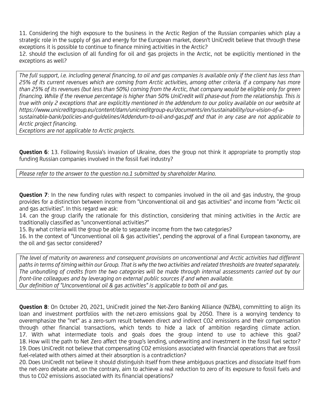11. Considering the high exposure to the business in the Arctic Region of the Russian companies which play a strategic role in the supply of gas and energy for the European market, doesn't UniCredit believe that through these exceptions it is possible to continue to finance mining activities in the Arctic?

12. should the exclusion of all funding for oil and gas projects in the Arctic, not be explicitly mentioned in the exceptions as well?

The full support, i.e. including general financing, to oil and gas companies is available only if the client has less than 25% of its current revenues which are coming from Arctic activities, among other criteria. If a company has more than 25% of its revenues (but less than 50%) coming from the Arctic, that company would be eligible only for green financing. While if the revenue percentage is higher than 50% UniCredit will phase-out from the relationship. This is true with only 2 exceptions that are explicitly mentioned in the addendum to our policy available on our website at https://www.unicreditgroup.eu/content/dam/unicreditgroup-eu/documents/en/sustainability/our-vision-of-asustainable-bank/policies-and-guidelines/Addendum-to-oil-and-gas.pdf and that in any case are not applicable to Arctic project financing.

Exceptions are not applicable to Arctic projects.

Question 6: 13. Following Russia's invasion of Ukraine, does the group not think it appropriate to promptly stop funding Russian companies involved in the fossil fuel industry?

Please refer to the answer to the question no.1 submitted by shareholder Marino.

**Question 7:** In the new funding rules with respect to companies involved in the oil and gas industry, the group provides for a distinction between income from "Unconventional oil and gas activities" and income from "Arctic oil and gas activities". In this regard we ask:

14. can the group clarify the rationale for this distinction, considering that mining activities in the Arctic are traditionally classified as "unconventional activities?"

15. By what criteria will the group be able to separate income from the two categories?

16. In the context of "Unconventional oil & gas activities", pending the approval of a final European taxonomy, are the oil and gas sector considered?

The level of maturity on awareness and consequent provisions on unconventional and Arctic activities had different paths in terms of timing within our Group. That is why the two activities and related thresholds are treated separately. The unbundling of credits from the two categories will be made through internal assessments carried out by our front-line colleagues and by leveraging on external public sources if and when available. Our definition of "Unconventional oil & gas activities" is applicable to both oil and gas.

Question 8: On October 20, 2021, UniCredit joined the Net-Zero Banking Alliance (NZBA), committing to align its loan and investment portfolios with the net-zero emissions goal by 2050. There is a worrying tendency to overemphasize the "net" as a zero-sum result between direct and indirect CO2 emissions and their compensation through other financial transactions, which tends to hide a lack of ambition regarding climate action. 17. With what intermediate tools and goals does the group intend to use to achieve this goal? 18. How will the path to Net Zero affect the group's lending, underwriting and investment in the fossil fuel sector? 19. Does UniCredit not believe that compensating CO2 emissions associated with financial operations that are fossil fuel-related with others aimed at their absorption is a contradiction?

20. Does UniCredit not believe it should distinguish itself from these ambiguous practices and dissociate itself from the net-zero debate and, on the contrary, aim to achieve a real reduction to zero of its exposure to fossil fuels and thus to CO2 emissions associated with its financial operations?